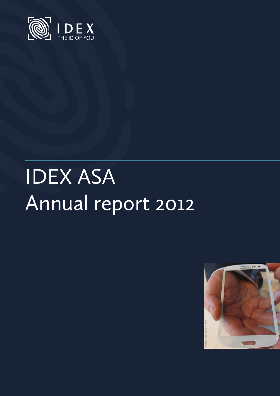

# IDEX ASA Annual report 2012

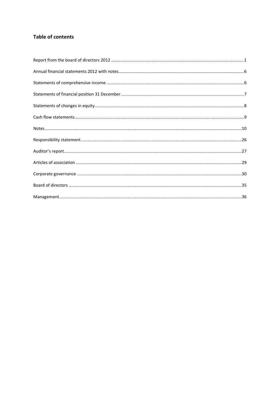# **Table of contents**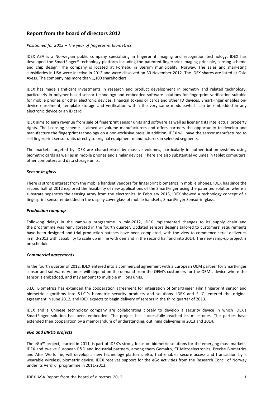# **Report from the board of directors 2012**

#### *Positioned for 2013 – The year of fingerprint biometrics*

IDEX ASA is a Norwegian public company specialising in fingerprint imaging and recognition technology. IDEX has developed the SmartFinger® technology platform including the patented fingerprint imaging principle, sensing scheme and chip design. The company is located at Fornebu in Bærum municipality, Norway. The sales and marketing subsidiaries in USA were inactive in 2012 and were dissolved on 30 November 2012. The IDEX shares are listed at Oslo Axess. The company has more than 1,100 shareholders.

IDEX has made significant investments in research and product development in biometry and related technology, particularly in polymer-based sensor technology and embedded software solutions for fingerprint verification suitable for mobile phones or other electronic devices, financial tokens or cards and other ID devices. SmartFinger enables ondevice enrollment, template storage and verification within the very same module,which can be embedded in any electronic device or an ID card.

IDEX aims to earn revenue from sale of fingerprint sensor units and software as well as licensing its intellectual property rights. The licensing scheme is aimed at volume manufacturers and offers partners the opportunity to develop and manufacture the fingerprint technology on a non‐exclusive basis. In addition, IDEX will have the sensor manufactured to sell fingerprint sensor units directly to original equipment manufacturers in selected segments.

The markets targeted by IDEX are characterised by massive volumes, particularly in authentication systems using biometric cards as well as in mobile phones and similar devices. There are also substantial volumes in tablet computers, other computers and data storage units.

#### *Sensor‐in‐glass*

There is strong interest from the mobile handset vendors for fingerprint biometrics in mobile phones. IDEX has since the second half of 2012 explored the feasibility of new applications of the SmartFinger using the patented solution where a substrate separates the sensing array from the electronics. In February 2013, IDEX showed a technology concept of a fingerprint sensor embedded in the display cover glass of mobile handsets, SmartFinger Sensor-in-glass.

#### *Production ramp‐up*

Following delays in the ramp-up programme in mid-2012, IDEX implemented changes to its supply chain and the programme was reinvigorated in the fourth quarter. Updated sensors designs tailored to customers' requirements have been designed and trial production batches have been completed, with the view to commence serial deliveries in mid-2013 with capability to scale up in line with demand in the second half and into 2014. The new ramp-up project is on schedule.

#### *Commercial agreements*

In the fourth quarter of 2012, IDEX entered into a commercial agreement with a European OEM partner for SmartFinger sensor and software. Volumes will depend on the demand from the OEM's customers for the OEM's device where the sensor is embedded, and may amount to multiple millions units.

S.I.C. Biometrics has extended the cooperation agreement for integration of SmartFinger Film fingerprint sensor and biometric algorithms into S.I.C.'s biometric security products and solutions. IDEX and S.I.C. entered the original agreement in June 2012, and IDEX expects to begin delivery of sensors in the third quarter of 2013.

IDEX and a Chinese technology company are collaborating closely to develop a security device in which IDEX's SmartFinger solution has been embedded. The project has successfully reached its milestones. The parties have extended their cooperation by a memorandum of understanding, outlining deliveries in 2013 and 2014.

#### *eGo and BIRDS projects*

The eGo™ project, started in 2011, is part of IDEX's strong focus on biometric solutions for the emerging mass markets. IDEX and twelve European R&D and industrial partners, among them Gemalto, ST Microelectronics, Precise Biometrics and Atos Worldline, will develop a new technology platform, eGo, that enables secure access and transaction by a wearable wireless, biometric device. IDEX receives support for the eGo activities from the Research Concil of Norway under its VerdIKT programme in 2011‐2013.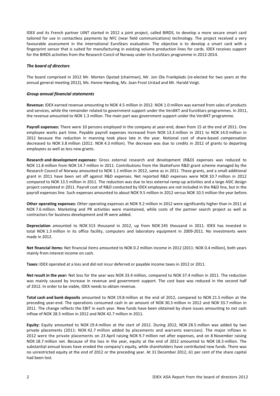IDEX and its French partner UINT started in 2012 a joint project, called BIRDS, to develop a more secure smart card tailored for use in contactless payments by NFC (near field communications) technology. The project received a very favourable assessment in the international EuroStars evaluation. The objective is to develop a smart card with a fingerprint sensor that is suited for manufacturing in existing volume production lines for cards. IDEX receives support for the BIRDS activities from the Research Concil of Norway under its EuroStars programme in 2012‐2014.

#### *The board of directors*

The board comprised in 2012 Mr. Morten Opstad (chairman), Mr. Jon Ola Frankplads (re‐elected for two years at the annual general meeting 2012), Ms. Hanne Høvding, Ms. Joan Frost Urstad and Mr. Harald Voigt.

#### *Group annual financial statements*

**Revenue:** IDEX earned revenue amounting to NOK 4.5 million in 2012. NOK 1.0 million was earned from sales of products and services, while the remainder related to government support under the VerdIKT and EuroStars programmes. In 2011, the revenue amounted to NOK 1.3 million. The main part was government support under the VerdIKT programme.

Payroll expenses: There were 10 persons employed in the company at year-end, down from 15 at the end of 2011. One employee works part time. Payable payroll expenses increased from NOK 13.3 million in 2011 to NOK 14.0 million in 2012 because the reduction in manning took place late in the year. Notional cost of share‐based compensation decreased to NOK 3.8 million (2011: NOK 4.3 million). The decrease was due to credits in 2012 of grants to departing employees as well as less new grants.

**Research and development expenses:** Gross external research and development (R&D) expenses was reduced to NOK 11.8 million from NOK 14.7 million in 2011. Contributions from the SkatteFunn R&D grant scheme managed by the Research Council of Norway amounted to NOK 1.1 million in 2012, same as in 2011. These grants, and a small additional grant in 2011 have been set off against R&D expenses. Net reported R&D expenses were NOK 10.7 million in 2012 compared to NOK 13.5 million in 2011. The reduction was due to less external ramp-up activities and a large ASIC design project completed in 2011. Payroll cost of R&D conducted by IDEX employees are not included in the R&D line, but in the payroll expenses line. Such expenses amounted to about NOK 9.5 million in 2012 versus NOK 10.5 million the year before.

**Other operating expenses:** Other operating expenses at NOK 9.2 million in 2012 were significantly higher than in 2011 at NOK 7.6 million. Marketing and PR activities were maintained, while costs of the partner search project as well as contractors for business development and IR were added.

**Depreciation** amounted to NOK 313 thousand in 2012, up from NOK 245 thousand in 2011. IDEX has invested in total NOK 1.3 million in its office facility, computers and laboratory equipment in 2009-2011. No investments were made in 2012.

**Net financial items:** Net financial items amounted to NOK 0.2 million income in 2012 (2011: NOK 0.4 million), both years mainly from interest income on cash.

**Taxes:** IDEX operated at a loss and did not incur deferred or payable income taxes in 2012 or 2011.

**Net result in the year:** Net loss for the year was NOK 33.4 million, compared to NOK 37.4 million in 2011. The reduction was mainly caused by increase in revenue and government support. The cost base was reduced in the second half of 2012. In order to be viable, IDEX needs to obtain revenue.

**Total cash and bank deposits** amounted to NOK 19.8 million at the end of 2012, compared to NOK 21.5 million at the preceding year‐end. The operations consumed cash in an amount of NOK 30.3 million in 2012 and NOK 33.7 million in 2011. The change reflects the EBIT in each year. New funds have been obtained by share issues amounting to net cash inflow of NOK 28.5 million in 2012 and NOK 42.7 million in 2011.

**Equity:** Equity amounted to NOK 19.4 million at the start of 2012. During 2012, NOK 28.5 million was added by two private placements (2011: NOK 42.7 million added by placements and warrants exercises). The major inflows in 2012 were the private placements on 23 April raising NOK 9.7 million net after expenses, and on 8 November raising NOK 18.7 million net. Because of the loss in the year, equity at the end of 2012 amounted to NOK 18.3 million. The substantial annual losses have eroded the company's equity, while shareholders have contributed new funds. There was no unrestricted equity at the end of 2012 or the preceding year. At 31 December 2012, 61 per cent of the share capital had been lost.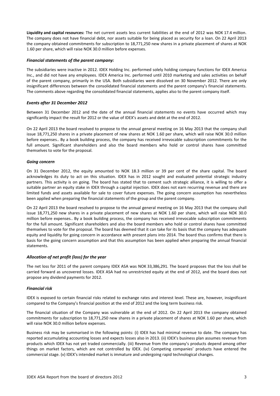**Liquidity and capital resources:** The net current assets less current liabilities at the end of 2012 was NOK 17.4 million. The company does not have financial debt, nor assets suitable for being placed as security for a loan. On 22 April 2013 the company obtained commitments for subscription to 18,771,250 new shares in a private placement of shares at NOK 1.60 per share, which will raise NOK 30.0 million before expenses.

#### *Financial statements of the parent company:*

The subsidiaries were inactive in 2012. IDEX Holding Inc. performed solely holding company functions for IDEX America Inc., and did not have any employees. IDEX America Inc. performed until 2010 marketing and sales activities on behalf of the parent company, primarily in the USA. Both subsidiaries were dissolved on 30 November 2012. There are only insignificant differences between the consolidated financial statements and the parent company's financial statements. The comments above regarding the consolidated financial statements, applies also to the parent company itself.

#### *Events after 31 December 2012*

Between 31 December 2012 and the date of the annual financial statements no events have occurred which may significantly impact the result for 2012 or the value of IDEX's assets and debt at the end of 2012.

On 22 April 2013 the board resolved to propose to the annual general meeting on 16 May 2013 that the company shall issue 18,771,250 shares in a private placement of new shares at NOK 1.60 per share, which will raise NOK 30.0 million before expenses.. By a book building process, the company has received irrevocable subscription commitments for the full amount. Significant shareholders and also the board members who hold or control shares have committed themselves to vote for the proposal.

#### *Going concern*

On 31 December 2012, the equity amounted to NOK 18.3 million or 39 per cent of the share capital. The board acknowledges its duty to act on this situation. IDEX has in 2012 sought and evaluated potential strategic industry partners. This activity is on going. The board has stated that to cement such strategic alliance, it is willing to offer a suitable partner an equity stake in IDEX through a capital injection. IDEX does not earn recurring revenue and there are limited funds and assets available for sale to cover future expenses. The going concern assumption has nevertheless been applied when preparing the financial statements of the group and the parent company.

On 22 April 2013 the board resolved to propose to the annual general meeting on 16 May 2013 that the company shall issue 18,771,250 new shares in a private placement of new shares at NOK 1.60 per share, which will raise NOK 30.0 million before expenses.. By a book building process, the company has received irrevocable subscription commitments for the full amount. Significant shareholders and also the board members who hold or control shares have committed themselves to vote for the proposal. The board has deemed that it can take for its basis that the company has adequate equity and liquidity for going concern in accordance with present plans into 2014. The board thus confirms that there is basis for the going concern assumption and that this assumption has been applied when preparing the annual financial statements.

#### *Allocation of net profit (loss) for the year*

The net loss for 2011 of the parent company IDEX ASA was NOK 33,386,291. The board proposes that the loss shall be carried forward as uncovered losses. IDEX ASA had no unrestricted equity at the end of 2012, and the board does not propose any dividend payments for 2012.

# *Financial risk*

IDEX is exposed to certain financial risks related to exchange rates and interest level. These are, however, insignificant compared to the Company's financial position at the end of 2012 and the long term business risk.

The financial situation of the Company was vulnerable at the end of 2012. On 22 April 2013 the company obtained commitments for subscription to 18,771,250 new shares in a private placement of shares at NOK 1.60 per share, which will raise NOK 30.0 million before expenses.

Business risk may be summarised in the following points: (i) IDEX has had minimal revenue to date. The company has reported accumulating accounting losses and expects losses also in 2013. (ii) IDEX's business plan assumes revenue from products which IDEX has not yet traded commercially. (iii) Revenue from the company's products depend among other things on market factors, which are not controlled by IDEX. (iv) Competing companies' products have entered the commercial stage. (v) IDEX's intended market is immature and undergoing rapid technological changes.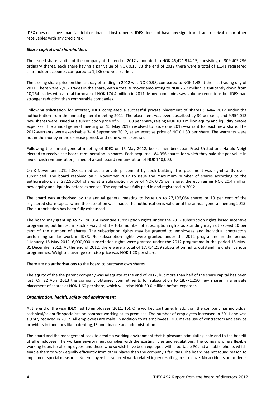IDEX does not have financial debt or financial instruments. IDEX does not have any significant trade receivables or other receivables with any credit risk.

#### *Share capital and shareholders*

The issued share capital of the company at the end of 2012 amounted to NOK 46,421,914.15, consisting of 309,405,296 ordinary shares, each share having a par value of NOK 0.15. At the end of 2012 there were a total of 1,141 registered shareholder accounts, compared to 1,186 one year earlier.

The closing share price on the last day of trading in 2012 was NOK 0.98, compared to NOK 1.43 at the last trading day of 2011. There were 2,937 trades in the share, with a total turnover amounting to NOK 26.2 million, significantly down from 10,264 trades with a total turnover of NOK 174.4 million in 2011. Many companies saw volume reductions but IDEX had stronger reduction than comparable companies.

Following solicitation for interest, IDEX completed a successful private placement of shares 9 May 2012 under tha authorisation from the annual general meeting 2011. The placement was oversubscribed by 30 per cent, and 9,954,013 new shares were issued at a subscription price of NOK 1.00 per share, raising NOK 10.0 million equity and liquidity before expenses. The annual general meeting on 15 May 2012 resolved to issue one 2012–warrant for each new share. The 2012-warrants were exercisable 3-14 September 2012, at an exercise price of NOK 1.30 per share. The warrants were not in the money in the exercise period, and none were exercised.

Following the annual general meeting of IDEX on 15 May 2012, board members Joan Frost Urstad and Harald Voigt elected to receive the board remuneration in shares. Each acquired 184,356 shares for which they paid the par value in lieu of cash remuneration, in lieu of a cash board remuneration of NOK 140,000.

On 8 November 2012 IDEX carried out a private placement by book building. The placement was significantly oversubscribed. The board resolved on 9 November 2012 to issue the maxumum number of shares according to the authorisation, viz. 27,196,064 shares at a subscription price of NOK 0.75 per share, thereby raising NOK 20.4 million new equity and liquidity before expenses. The capital was fully paid in and registered in 2012.

The board was authorised by the annual general meeting to issue up to 27,196,064 shares or 10 per cent of the registered share capital when the resolution was made. The authorisation is valid until the annual general meeting 2013. The authorisation has been fully exhausted.

The board may grant up to 27,196,064 incentive subscription rights under the 2012 subscription rights based incentive programme, but limited in such a way that the total number of subscription rights outstanding may not exceed 10 per cent of the number of shares. The subscription rights may be granted to employees and individual contractors performing similar work in IDEX. No subscription rights were granted under the 2011 programme in the period 1 January‐15 May 2012. 6,000,000 subscription rights were granted under the 2012 programme in the period 15 May‐ 31 December 2012. At the end of 2012, there were a total of 17,754,259 subscription rights outstanding under various programmes. Weighted average exercise price was NOK 1.28 per share.

There are no authorisations to the board to purchase own shares.

The equity of the the parent company was adequate at the end of 2012, but more than half of the share capital has been lost. On 22 April 2013 the company obtained commitments for subscription to 18,771,250 new shares in a private placement of shares at NOK 1.60 per share, which will raise NOK 30.0 million before expenses.

# *Organisation; health, safety and environment*

At the end of the year IDEX had 10 employees (2011: 15). One worked part time. In addition, the company has individual technical/scientific specialists on contract working at its premises. The number of employees increased in 2011 and was slightly reduced in 2012. All employees are male. In addition to its employees IDEX makes use of contractors and service providers in functions like patenting, IR and finance and administration.

The board and the management seek to create a working environment that is pleasant, stimulating, safe and to the benefit of all employees. The working environment complies with the existing rules and regulations. The company offers flexible working hours for all employees, and those who so wish have been equipped with a portable PC and a mobile phone, which enable them to work equally efficiently from other places than the company's facilities. The board has not found reason to implement special measures. No employee has suffered work‐related injury resulting in sick leave. No accidents or incidents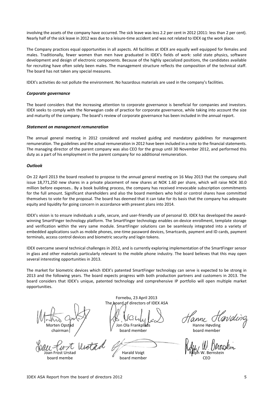involving the assets of the company have occurred. The sick leave was less 2.2 per cent in 2012 (2011: less than 2 per cent). Nearly half of the sick leave in 2012 was due to a leisure-time accident and was not related to IDEX og the work place.

The Company practices equal opportunities in all aspects. All facilities at IDEX are equally well equipped for females and males. Traditionally, fewer women than men have graduated in IDEX's fields of work: solid state physics, software development and design of electronic components. Because of the highly specialized positions, the candidates available for recruiting have often solely been males. The management structure reflects the composition of the technical staff. The board has not taken any special measures.

IDEX's activities do not pollute the environment. No hazardous materials are used in the company's facilities.

#### *Corporate governance*

The board considers that the increasing attention to corporate governance is beneficial for companies and investors. IDEX seeks to comply with the Norwegian code of practice for corporate governance, while taking into account the size and maturity of the company. The board's review of corporate governance has been included in the annual report.

#### *Statement on management remuneration*

The annual general meeting in 2012 considered and resolved guiding and mandatory guidelines for management remuneration. The guidelines and the actual remuneration in 2012 have been included in a note to the financial statements. The managing director of the parent company was also CEO for the group until 30 November 2012, and performed this duty as a part of his employment in the parent company for no additional remuneration.

#### *Outlook*

On 22 April 2013 the board resolved to propose to the annual general meeting on 16 May 2013 that the company shall issue 18,771,250 new shares in a private placement of new shares at NOK 1.60 per share, which will raise NOK 30.0 million before expenses.. By a book building process, the company has received irrevocable subscription commitments for the full amount. Significant shareholders and also the board members who hold or control shares have committed themselves to vote for the proposal. The board has deemed that it can take for its basis that the company has adequate equity and liquidity for going concern in accordance with present plans into 2014.

IDEX's vision is to ensure individuals a safe, secure, and user‐friendly use of personal ID. IDEX has developed the award‐ winning SmartFinger technology platform. The SmartFinger technology enables on-device enrollment, template storage and verification within the very same module. SmartFinger solutions can be seamlessly integrated into a variety of embedded applications such as mobile phones, one-time password devices, Smartcards, payment and ID cards, payment terminals, access control devices and biometric security and login tokens.

IDEX overcame several technical challenges in 2012, and is currently exploring implementation of the SmartFinger sensor in glass and other materials particularly relevant to the mobile phone industry. The board believes that this may open several interesting opportunities in 2013.

The market for biometric devices which IDEX's patented SmartFinger technology can serve is expected to be strong in 2013 and the following years. The board expects progress with both production partners and customers in 2013. The board considers that IDEX's unique, patented technology and comprehensive IP portfolio will open multiple market opportunities.

> Fornebu, 23 April 2013 The board of directors of IDEX ASA

Morten Opstad Jon Ola Frankplads Hanne Høvding chairman **board member** board member board member

Harald Voigt board member and the board member that the control of the board member that the control of the control of the c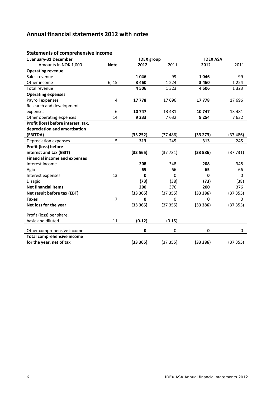# **Annual financial statements 2012 with notes**

# **Statements of comprehensive income**

| 1 January-31 December                |                | <b>IDEX</b> group |             | <b>IDEX ASA</b> |             |
|--------------------------------------|----------------|-------------------|-------------|-----------------|-------------|
| Amounts in NOK 1,000                 | <b>Note</b>    | 2012              | 2011        | 2012            | 2011        |
| <b>Operating revenue</b>             |                |                   |             |                 |             |
| Sales revenue                        |                | 1046              | 99          | 1046            | 99          |
| Other income                         | 6, 15          | 3 4 6 0           | 1 2 2 4     | 3 4 6 0         | 1 2 2 4     |
| <b>Total revenue</b>                 |                | 4506              | 1 3 2 3     | 4506            | 1 3 2 3     |
| <b>Operating expenses</b>            |                |                   |             |                 |             |
| Payroll expenses                     | 4              | 17778             | 17696       | 17778           | 17696       |
| Research and development             |                |                   |             |                 |             |
| expenses                             | 6              | 10747             | 13 4 8 1    | 10747           | 13 4 8 1    |
| Other operating expenses             | 14             | 9 2 3 3           | 7632        | 9 2 5 4         | 7632        |
| Profit (loss) before interest, tax,  |                |                   |             |                 |             |
| depreciation and amortisation        |                |                   |             |                 |             |
| (EBITDA)                             |                | (33 252)          | (37486)     | (33 273)        | (37486)     |
| Depreciation expenses                | 5              | 313               | 245         | 313             | 245         |
| Profit (loss) before                 |                |                   |             |                 |             |
| interest and tax (EBIT)              |                | (33565)           | (37731)     | (33586)         | (37731)     |
| <b>Financial income and expenses</b> |                |                   |             |                 |             |
| Interest income                      |                | 208               | 348         | 208             | 348         |
| Agio                                 |                | 65                | 66          | 65              | 66          |
| Interest expenses                    | 13             | 0                 | 0           | 0               | 0           |
| Disagio                              |                | (73)              | (38)        | (73)            | (38)        |
| <b>Net financial items</b>           |                | 200               | 376         | 200             | 376         |
| Net result before tax (EBT)          |                | (33365)           | (37355)     | (33386)         | (37355)     |
| <b>Taxes</b>                         | $\overline{7}$ | $\mathbf 0$       | 0           | $\mathbf{0}$    | $\mathbf 0$ |
| Net loss for the year                |                | (33365)           | (37355)     | (33386)         | (37 355)    |
|                                      |                |                   |             |                 |             |
| Profit (loss) per share,             |                |                   |             |                 |             |
| basic and diluted                    | 11             | (0.12)            | (0.15)      |                 |             |
| Other comprehensive income           |                | $\mathbf 0$       | $\mathbf 0$ | 0               | $\mathbf 0$ |
| <b>Total comprehensive income</b>    |                |                   |             |                 |             |
| for the year, net of tax             |                | (33365)           | (37355)     | (33 386)        | (3735)      |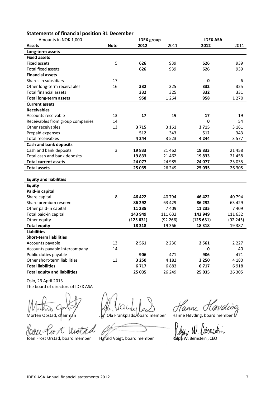# **Statements of financial position 31 December**

| Amounts in NOK 1,000                |             | <b>IDEX</b> group |          | <b>IDEX ASA</b> |          |
|-------------------------------------|-------------|-------------------|----------|-----------------|----------|
| <b>Assets</b>                       | <b>Note</b> | 2012              | 2011     | 2012            | 2011     |
| Long-term assets                    |             |                   |          |                 |          |
| <b>Fixed assets</b>                 |             |                   |          |                 |          |
| <b>Fixed assets</b>                 | 5           | 626               | 939      | 626             | 939      |
| <b>Total fixed assets</b>           |             | 626               | 939      | 626             | 939      |
| <b>Financial assets</b>             |             |                   |          |                 |          |
| Shares in subsidiary                | 17          |                   |          | 0               | 6        |
| Other long-term receivables         | 16          | 332               | 325      | 332             | 325      |
| <b>Total financial assets</b>       |             | 332               | 325      | 332             | 331      |
| <b>Total long-term assets</b>       |             | 958               | 1 2 6 4  | 958             | 1 2 7 0  |
| <b>Current assets</b>               |             |                   |          |                 |          |
| <b>Receivables</b>                  |             |                   |          |                 |          |
| Accounts receivable                 | 13          | 17                | 19       | 17              | 19       |
| Receivables from group companies    | 14          |                   |          | 0               | 54       |
| Other receivables                   | 13          | 3715              | 3 1 6 1  | 3715            | 3 1 6 1  |
| Prepaid expenses                    |             | 512               | 343      | 512             | 343      |
| Total receivables                   |             | 4 2 4 4           | 3 5 2 3  | 4 244           | 3577     |
| <b>Cash and bank deposits</b>       |             |                   |          |                 |          |
| Cash and bank deposits              | 3           | 19833             | 21 4 62  | 19833           | 21 4 5 8 |
| Total cash and bank deposits        |             | 19833             | 21 4 62  | 19833           | 21 4 5 8 |
| <b>Total current assets</b>         |             | 24 077            | 24 985   | 24 077          | 25 0 35  |
| <b>Total assets</b>                 |             | 25 035            | 26 249   | 25 035          | 26 30 5  |
|                                     |             |                   |          |                 |          |
| <b>Equity and liabilities</b>       |             |                   |          |                 |          |
| <b>Equity</b>                       |             |                   |          |                 |          |
| Paid-in capital                     |             |                   |          |                 |          |
| Share capital                       | 8           | 46 422            | 40794    | 46 422          | 40 794   |
| Share premium reserve               |             | 86 292            | 63 4 29  | 86 292          | 63 4 29  |
| Other paid-in capital               |             | 11 2 35           | 7409     | 11 235          | 7409     |
| Total paid-in capital               |             | 143 949           | 111 632  | 143 949         | 111 632  |
| Other equity                        |             | (125631)          | (92 266) | (125631)        | (92 245) |
| <b>Total equity</b>                 |             | 18 3 18           | 19 3 66  | 18 3 18         | 19 3 8 7 |
| <b>Liabilities</b>                  |             |                   |          |                 |          |
| <b>Short-term liabilities</b>       |             |                   |          |                 |          |
| Accounts payable                    | 13          | 2 5 6 1           | 2 2 3 0  | 2 5 6 1         | 2 2 2 7  |
| Accounts payable intercompany       | 14          |                   |          | 0               | 40       |
| Public duties payable               |             | 906               | 471      | 906             | 471      |
| Other short-term liabilities        | 13          | 3 2 5 0           | 4 1 8 2  | 3 2 5 0         | 4 1 8 0  |
| <b>Total liabilities</b>            |             | 6717              | 6883     | 6717            | 6918     |
| <b>Total equity and liabilities</b> |             | 25 035            | 26 249   | 25 035          | 26 30 5  |

Oslo, 23 April 2013 The board of directors of IDEX ASA

Joan Frost United Marcus Control May W. United Voices of May W. United Joan Frost United Marcus Joan Frost United States on Ralph W. Bernstein , CEO lis  $\mathcal{U}$ 

Morten Opstad, chairman Jon Ola Frankplads, board member Hanne Høvding, board member V

Hanne Havding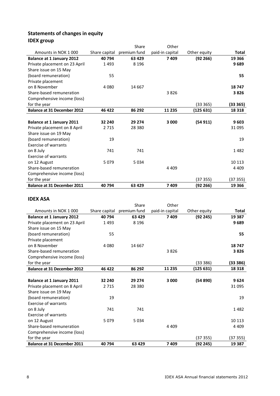# **Statements of changes in equity IDEX group**

|                                    |               | Share        | Other           |              |              |
|------------------------------------|---------------|--------------|-----------------|--------------|--------------|
| Amounts in NOK 1000                | Share capital | premium fund | paid-in capital | Other equity | <b>Total</b> |
| <b>Balance at 1 January 2012</b>   | 40794         | 63 4 29      | 7409            | (92 266)     | 19 366       |
| Private placement on 23 April      | 1493          | 8 1 9 6      |                 |              | 9689         |
| Share issue on 15 May              |               |              |                 |              |              |
| (board remuneration)               | 55            |              |                 |              | 55           |
| Private placement                  |               |              |                 |              |              |
| on 8 November                      | 4 0 8 0       | 14 6 67      |                 |              | 18747        |
| Share-based remuneration           |               |              | 3826            |              | 3826         |
| Comprehensive income (loss)        |               |              |                 |              |              |
| for the year                       |               |              |                 | (33365)      | (33 365)     |
| <b>Balance at 31 December 2012</b> | 46 422        | 86 292       | 11 2 35         | (125631)     | 18 3 18      |
|                                    |               |              |                 |              |              |
| <b>Balance at 1 January 2011</b>   | 32 240        | 29 274       | 3 000           | (54911)      | 9603         |
| Private placement on 8 April       | 2 7 1 5       | 28 3 8 0     |                 |              | 31 095       |
| Share issue on 19 May              |               |              |                 |              |              |
| (board remuneration)               | 19            |              |                 |              | 19           |
| <b>Exercise of warrants</b>        |               |              |                 |              |              |
| on 8 July                          | 741           | 741          |                 |              | 1482         |
| <b>Exercise of warrants</b>        |               |              |                 |              |              |
| on 12 August                       | 5079          | 5034         |                 |              | 10 113       |
| Share-based remuneration           |               |              | 4 4 0 9         |              | 4 4 0 9      |
| Comprehensive income (loss)        |               |              |                 |              |              |
| for the year                       |               |              |                 | (37355)      | (37 355)     |
| <b>Balance at 31 December 2011</b> | 40 794        | 63 4 29      | 7409            | (92 266)     | 19 3 66      |

# **IDEX ASA**

|                                    |               | Share        | Other           |              |              |
|------------------------------------|---------------|--------------|-----------------|--------------|--------------|
| Amounts in NOK 1000                | Share capital | premium fund | paid-in capital | Other equity | <b>Total</b> |
| <b>Balance at 1 January 2012</b>   | 40 794        | 63 4 29      | 7409            | (92 245)     | 19 3 87      |
| Private placement on 23 April      | 1493          | 8 1 9 6      |                 |              | 9689         |
| Share issue on 15 May              |               |              |                 |              |              |
| (board remuneration)               | 55            |              |                 |              | 55           |
| Private placement                  |               |              |                 |              |              |
| on 8 November                      | 4 0 8 0       | 14 6 67      |                 |              | 18747        |
| Share-based remuneration           |               |              | 3826            |              | 3826         |
| Comprehensive income (loss)        |               |              |                 |              |              |
| for the year                       |               |              |                 | (33 386)     | (33 386)     |
| <b>Balance at 31 December 2012</b> | 46 422        | 86 292       | 11 2 35         | (125 631)    | 18 3 18      |
|                                    |               |              |                 |              |              |
| <b>Balance at 1 January 2011</b>   | 32 240        | 29 274       | 3 000           | (54 890)     | 9624         |
| Private placement on 8 April       | 2 7 1 5       | 28 3 8 0     |                 |              | 31 095       |
| Share issue on 19 May              |               |              |                 |              |              |
| (board remuneration)               | 19            |              |                 |              | 19           |
| <b>Exercise of warrants</b>        |               |              |                 |              |              |
| on 8 July                          | 741           | 741          |                 |              | 1482         |
| <b>Exercise of warrants</b>        |               |              |                 |              |              |
| on 12 August                       | 5079          | 5 0 3 4      |                 |              | 10 113       |
| Share-based remuneration           |               |              | 4 4 0 9         |              | 4 4 0 9      |
| Comprehensive income (loss)        |               |              |                 |              |              |
| for the year                       |               |              |                 | (37355)      | (37355)      |
| <b>Balance at 31 December 2011</b> | 40 794        | 63 4 29      | 7409            | (92 245)     | 19 3 87      |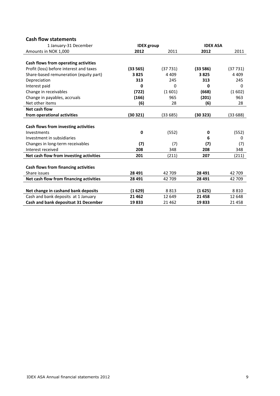# **Cash flow statements**

| 1 January-31 December                   | <b>IDEX</b> group |          | <b>IDEX ASA</b> |          |  |
|-----------------------------------------|-------------------|----------|-----------------|----------|--|
| Amounts in NOK 1,000                    | 2012              | 2011     | 2012            | 2011     |  |
| Cash flows from operating activities    |                   |          |                 |          |  |
| Profit (loss) before interest and taxes | (33 565)          | (37731)  | (33586)         | (37731)  |  |
| Share-based remuneration (equity part)  | 3825              | 4 4 0 9  | 3825            | 4 4 0 9  |  |
| Depreciation                            | 313               | 245      | 313             | 245      |  |
| Interest paid                           | $\bf{0}$          | $\Omega$ | $\bf{0}$        | $\Omega$ |  |
| Change in receivables                   | (722)             | (1601)   | (668)           | (1602)   |  |
| Change in payables, accruals            | (166)             | 965      | (201)           | 963      |  |
| Net other items                         | (6)               | 28       | (6)             | 28       |  |
| Net cash flow                           |                   |          |                 |          |  |
| from operational activities             | (30 321)          | (33 685) | (30323)         | (33 688) |  |
|                                         |                   |          |                 |          |  |
| Cash flows from investing activities    |                   |          |                 |          |  |
| Investments                             | 0                 | (552)    | 0               | (552)    |  |
| Investment in subsidiaries              |                   |          | 6               | $\Omega$ |  |
| Changes in long-term receivables        | (7)               | (7)      | (7)             | (7)      |  |
| Interest received                       | 208               | 348      | 208             | 348      |  |
| Net cash flow from investing activities | 201               | (211)    | 207             | (211)    |  |
|                                         |                   |          |                 |          |  |
| Cash flows from financing activities    |                   |          |                 |          |  |
| Share issues                            | 28 491            | 42 709   | 28 491          | 42 709   |  |
| Net cash flow from financing activities | 28 491            | 42 709   | 28 491          | 42 709   |  |
| Net change in cashand bank deposits     | (1629)            | 8813     | (1625)          | 8810     |  |
| Cash and bank deposits at 1 January     | 21 4 62           | 12 649   | 21 4 5 8        | 12 648   |  |
| Cash and bank depositsat 31 December    | 19833             | 21 4 62  | 19833           | 21458    |  |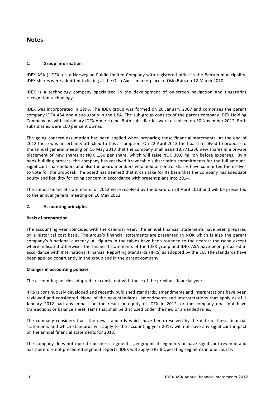# **Notes**

# **1. Group information**

IDEX ASA ("IDEX") is a Norwegian Public Limited Company with registered office in the Bærum municipality. IDEX shares were admitted to listing at the Oslo Axess marketplace of Oslo Børs on 12 March 2010.

IDEX is a technology company specialized in the development of on‐screen navigation and fingerprint recognition technology.

IDEX was incorporated in 1996. The IDEX group was formed on 20 January 2007 and comprises the parent company IDEX ASA and a sub‐group in the USA. The sub‐group consists of the parent company IDEX Holding Company Inc with subsidiary IDEX America Inc. Both subsidiarfies were dissolved on 30 November 2012. Both subsidiaries were 100 per cent owned.

The going concern assumption has been applied when preparing these financial statements. At the end of 2012 there was uncertainty attached to this assumption. On 22 April 2013 the board resolved to propose to the annual general meeting on 16 May 2013 that the company shall issue 18,771,250 new shares in a private placement of new shares at NOK 1.60 per share, which will raise NOK 30.0 million before expenses.. By a book building process, the company has received irrevocable subscription commitments for the full amount. Significant shareholders and also the board members who hold or control shares have committed themselves to vote for the proposal. The board has deemed that it can take for its basis that the company has adequate equity and liquidity for going concern in accordance with present plans into 2014.

The annual financial statements for 2012 were resolved by the board on 23 April 2013 and will be presented to the annual general meeting on 16 May 2013.

# **2. Accounting principles**

# **Basis of preparation**

The accounting year coincides with the calendar year. The annual financial statements have been prepared on a historical cost basis. The group's financial statements are presented in NOK which is also the parent company's functional currency. All figures in the tables have been rounded to the nearest thousand except where indicated otherwise. The financial statements of the IDEX group and IDEX ASA have been prepared in accordance with International Financial Reporting Standards (IFRS) as adopted by the EU. The standards have been applied congruently in the group and in the parent company.

# **Changes in accounting policies**

The accounting policies adopted are consistent with those of the previous financial year.

IFRS is continuously developed and recently published standards, amendments and interpretations have been reviewed and considered. None of the new standards, amendments and interpretations that apply as of 1 January 2012 had any impact on the result or equity of IDEX in 2012, or the company does not have transactions or balance sheet items that shall be disclosed under the new or amended rules.

The company considers that the new standards which have been resolved by the date of these financial statements and which standards will apply to the accounting year 2013, will not have any significant impact on the annual financial statements for 2013.

The company does not operate business segments, geographical segments or have significant revenue and has therefore not presented segment reports. IDEX will apply IFRS 8 Operating segments in due course.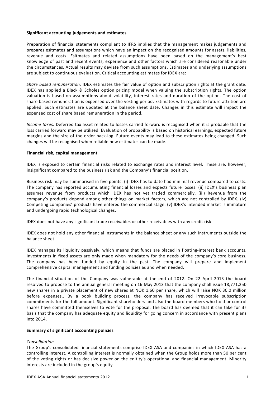#### **Significant accounting judgements and estimates**

Preparation of financial statements compliant to IFRS implies that the management makes judgements and prepares esitmates and assumptions which have an impact on the recognised amounts for assets, liabilities, revenue and costs. Esitmates and related assumptions have been based on the management's best knowledge of past and recent events, experience and other factors which are considered reasonable under the circumstances. Actual results may deviate from such assumptions. Estimates and underlying assumptions are subject to continuous evaluation. Critical accounting estimates for IDEX are:

*Share based remuneration:* IDEX estimates the fair value of option and subscription rights at the grant date. IDEX has applied a Black & Scholes option pricing model when valuing the subscription rights. The option valuation is based on assumptions about volatility, interest rates and duration of the option. The cost of share based remuneration is expensed over the vesting period. Estimates with regards to future attrition are applied. Such estimates are updated at the balance sheet date. Changes in this estimate will impact the expensed cost of share based remuneration in the period.

*Income taxes:* Deferred tax asset related to losses carried forward is recognised when it is probable that the loss carried forward may be utilised. Evaluation of probability is based on historical earnings, expected future margins and the size of the order back-log. Future events may lead to these estimates being changed. Such changes will be recognised when reliable new estimates can be made.

#### **Financial risk, capital management**

IDEX is exposed to certain financial risks related to exchange rates and interest level. These are, however, insignificant compared to the business risk and the Company's financial position.

Business risk may be summarised in five points: (i) IDEX has to date had minimal revenue compared to costs. The company has reported accumulating financial losses and expects future losses. (ii) IDEX's business plan assumes revenue from products which IDEX has not yet traded commercially. (iii) Revenue from the company's products depend among other things on market factors, which are not controlled by IDEX. (iv) Competing companies' products have entered the commercial stage. (v) IDEX's intended market is immature and undergoing rapid technological changes.

IDEX does not have any significant trade receivables or other receivables with any credit risk.

IDEX does not hold any other financial instruments in the balance sheet or any such instruments outside the balance sheet.

IDEX manages its liquidity passively, which means that funds are placed in floating‐interest bank accounts. Investments in fixed assets are only made when mandatory for the needs of the company's core business. The company has been funded by equity in the past. The company will prepare and implement comprehensive capital management and funding policies as and when needed.

The financial situation of the Company was vulnerable at the end of 2012. On 22 April 2013 the board resolved to propose to the annual general meeting on 16 May 2013 that the company shall issue 18,771,250 new shares in a private placement of new shares at NOK 1.60 per share, which will raise NOK 30.0 million before expenses.. By a book building process, the company has received irrevocable subscription commitments for the full amount. Significant shareholders and also the board members who hold or control shares have committed themselves to vote for the proposal. The board has deemed that it can take for its basis that the company has adequate equity and liquidity for going concern in accordance with present plans into 2014.

#### **Summary of significant accounting policies**

#### *Consolidation*

The Group's consolidated financial statements comprise IDEX ASA and companies in which IDEX ASA has a controlling interest. A controlling interest is normally obtained when the Group holds more than 50 per cent of the voting rights or has decisive power on the enitity's operational and financial management. Minority interests are included in the group's equity.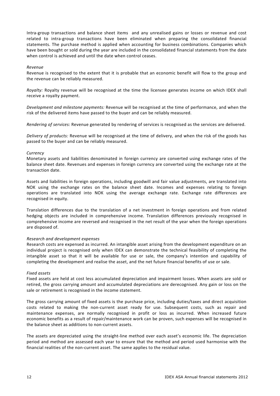Intra-group transactions and balance sheet items and any unrealised gains or losses or revenue and cost related to intra‐group transactions have been eliminated when preparing the consolidated financial statements. The purchase method is applied when accounting for business combinations. Companies which have been bought or sold during the year are included in the consolidated financial statements from the date when control is achieved and until the date when control ceases.

#### *Revenue*

Revenue is recognised to the extent that it is probable that an economic benefit will flow to the group and the revenue can be reliably measured.

*Royalty:* Royalty revenue will be recognised at the time the licensee generates income on which IDEX shall receive a royalty payment.

*Development and milestone payments:* Revenue will be recognised at the time of performance, and when the risk of the delivered items have passed to the buyer and can be reliably measured.

*Rendering of services:* Revenue generated by rendering of services is recognised as the services are delivered.

*Delivery of products:* Revenue will be recognised at the time of delivery, and when the risk of the goods has passed to the buyer and can be reliably measured.

# *Currency*

Monetary assets and liabilities denominated in foreign currency are converted using exchange rates of the balance sheet date. Revenues and expenses in foreign currency are converted using the exchange rate at the transaction date.

Assets and liabilities in foreign operations, including goodwill and fair value adjustments, are translated into NOK using the exchange rates on the balance sheet date. Incomes and expenses relating to foreign operations are translated into NOK using the average exchange rate. Exchange rate differences are recognised in equity.

Translation differences due to the translation of a net investment in foreign operations and from related hedging objects are included in comprehensive income. Translation differences previously recognised in comprehensive income are reversed and recognised in the net result of the year when the foreign operations are disposed of.

# *Research and development expenses*

Research costs are expensed as incurred. An intangible asset arising from the development expenditure on an individual project is recognised only when IDEX can demonstrate the technical feasibility of completing the intangible asset so that it will be available for use or sale, the company's intention and capability of completing the development and realise the asset, and the net future financial benefits of use or sale.

# *Fixed assets*

Fixed assets are held at cost less accumulated depreciation and impairment losses. When assets are sold or retired, the gross carrying amount and accumulated depreciations are derecognised. Any gain or loss on the sale or retirement is recognised in the income statement.

The gross carrying amount of fixed assets is the purchase price, including duties/taxes and direct acquisition costs related to making the non‐current asset ready for use. Subsequent costs, such as repair and maintenance expenses, are normally recognised in profit or loss as incurred. When increased future economic benefits as a result of repair/maintenance work can be proven, such expenses will be recognised in the balance sheet as additions to non‐current assets.

The assets are depreciated using the straight-line method over each asset's economic life. The depreciation period and method are assessed each year to ensure that the method and period used harmonise with the financial realities of the non‐current asset. The same applies to the residual value.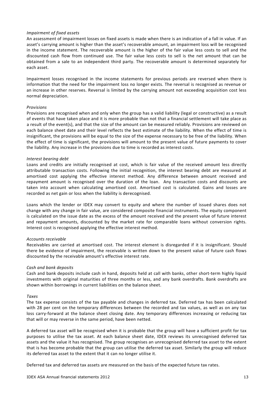#### *Impairment of fixed assets*

An assessment of impairment losses on fixed assets is made when there is an indication of a fall in value. If an asset's carrying amount is higher than the asset's recoverable amount, an impairment loss will be recognised in the income statement. The recoverable amount is the higher of the fair value less costs to sell and the discounted cash flow from continued use. The fair value less costs to sell is the net amount that can be obtained from a sale to an independent third party. The recoverable amount is determined separately for each asset.

Impairment losses recognised in the income statements for previous periods are reversed when there is information that the need for the impairment loss no longer exists. The reversal is recognised as revenue or an increase in other reserves. Reversal is limited by the carrying amount not exceeding acquisition cost less normal depreciation.

#### *Provisions*

Provisions are recognised when and only when the group has a valid liability (legal or constructive) as a result of events that have taken place and it is more probable than not that a financial settlement will take place as a result of the event(s), and that the size of the amount can be measured reliably. Provisions are reviewed on each balance sheet date and their level reflects the best estimate of the liability. When the effect of time is insignificant, the provisions will be equal to the size of the expense necessary to be free of the liability. When the effect of time is significant, the provisions will amount to the present value of future payments to cover the liability. Any increase in the provisions due to time is recorded as interest costs.

#### *Interest bearing debt*

Loans and credits are initially recognised at cost, which is fair value of the received amount less directly attributable transaction costs. Following the initial recognition, the interest bearing debt are measured at amortised cost applying the effective interest method. Any difference between amount received and repayment amount is recognised over the duration of the loan. Any transaction costs and discounts are taken into account when calculating amortised cost. Amortised cost is calculated. Gains and losses are recorded as net gain or loss when the liability is derecognised.

Loans which the lender or IDEX may convert to equity and where the number of issued shares does not change with any change in fair value, are considered composite financial instruments. The equity component is calculated on the issue date as the excess of the amount received and the present value of future interest and repayment amounts, discounted by the market rate for comparable loans without conversion rights. Interest cost is recognised applying the effective interest method.

#### *Accounts receivable*

Receivables are carried at amortised cost. The interest element is disregarded if it is insignificant. Should there be evidence of impairment, the receivable is written down to the present value of future cash flows discounted by the receivable amount's effective interest rate.

#### *Cash and bank deposits*

Cash and bank deposits include cash in hand, deposits held at call with banks, other short‐term highly liquid investments with original maturities of three months or less, and any bank overdrafts. Bank overdrafts are shown within borrowings in current liabilities on the balance sheet.

#### *Taxes*

The tax expense consists of the tax payable and changes in deferred tax. Deferred tax has been calculated with 28 per cent on the temporary differences between the recorded and tax values, as well as on any tax loss carry-forward at the balance sheet closing date. Any temporary differences increasing or reducing tax that will or may reverse in the same period, have been netted.

A deferred tax asset will be recognised when it is probable that the group will have a sufficient profit for tax purposes to utilise the tax asset. At each balance sheet date, IDEX reviews its unrecognised deferred tax assets and the value it has recognised. The group recognises an unrecognised deferred tax asset to the extent that is has become probable that the group can utilise the deferred tax asset. Similarly the group will reduce its deferred tax asset to the extent that it can no longer utilise it.

Deferred tax and deferred tax assets are measured on the basis of the expected future tax rates.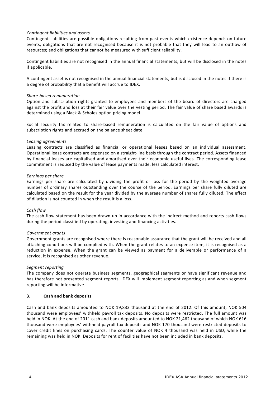# *Contingent liabilities and assets*

Contingent liabilities are possible obligations resulting from past events which existence depends on future events; obligations that are not recognised because it is not probable that they will lead to an outflow of resources; and obligations that cannot be measured with sufficient reliability.

Contingent liabilities are not recognised in the annual financial statements, but will be disclosed in the notes if applicable.

A contingent asset is not recognised in the annual financial statements, but is disclosed in the notes if there is a degree of probability that a benefit will accrue to IDEX.

#### *Share‐based remuneration*

Option and subscription rights granted to employees and members of the board of directors are charged against the profit and loss at their fair value over the vesting period. The fair value of share based awards is determined using a Black & Scholes option pricing model.

Social security tax related to share‐based remuneration is calculated on the fair value of options and subscription rights and accrued on the balance sheet date.

# *Leasing agreements*

Leasing contracts are classified as financial or operational leases based on an individual assessment. Operational lease contracts are expensed on a straight‐line basis through the contract period. Assets financed by financial leases are capitalised and amortised over their economic useful lives. The corresponding lease commitment is reduced by the value of lease payments made, less calculated interest.

#### *Earnings per share*

Earnings per share are calculated by dividing the profit or loss for the period by the weighted average number of ordinary shares outstanding over the course of the period. Earnings per share fully diluted are calculated based on the result for the year divided by the average number of shares fully diluted. The effect of dilution is not counted in when the result is a loss.

#### *Cash flow*

The cash flow statement has been drawn up in accordance with the indirect method and reports cash flows during the period classified by operating, investing and financing activities.

# *Government grants*

Government grants are recognised where there is reasonable assurance that the grant will be received and all attaching conditions will be complied with. When the grant relates to an expense item, it is recognised as a reduction in expense. When the grant can be viewed as payment for a deliverable or performance of a service, it is recognised as other revenue.

# *Segment reporting*

The company does not operate business segments, geographical segments or have significant revenue and has therefore not presented segment reports. IDEX will implement segment reporting as and when segment reporting will be informative.

# **3. Cash and bank deposits**

Cash and bank deposits amounted to NOK 19,833 thousand at the end of 2012. Of this amount, NOK 504 thousand were employees' withheld payroll tax deposits. No deposits were restricted. The full amount was held in NOK. At the end of 2011 cash and bank deposits amounted to NOK 21,462 thousand of which NOK 616 thousand were employees' withheld payroll tax deposits and NOK 170 thousand were restricted deposits to cover credit lines on purchasing cards. The counter value of NOK 4 thousand was held in USD, while the remaining was held in NOK. Deposits for rent of facilities have not been included in bank deposits.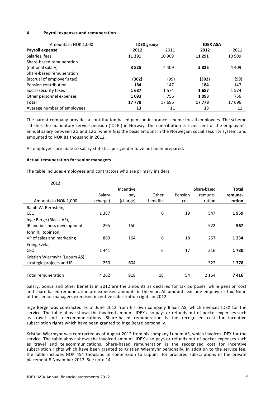# **4. Payroll expenses and remuneration**

| Amounts in NOK 1,000        | <b>IDEX</b> group |         | <b>IDEX ASA</b> |         |
|-----------------------------|-------------------|---------|-----------------|---------|
| Payroll expense             | 2012              | 2011    | 2012            | 2011    |
| Salaries, fees              | 11 291            | 10 909  | 11 291          | 10 909  |
| Share-based remuneration    |                   |         |                 |         |
| (notional salary)           | 3825              | 4 4 0 9 | 3825            | 4 4 0 9 |
| Share-based remuneration    |                   |         |                 |         |
| (accrual of employer's tax) | (302)             | (99)    | (302)           | (99)    |
| Pension contribution        | 184               | 147     | 184             | 147     |
| Social security taxes       | 1687              | 1574    | 1687            | 1574    |
| Other personnel expenses    | 1093              | 756     | 1093            | 756     |
| <b>Total</b>                | 17778             | 17696   | 17 778          | 17696   |
| Average number of employees | 13                | 11      | 13              | 11      |

The parent company provides a contribution based pension insurance scheme for all employees. The scheme satisfies the mandatory service pension ('OTP') in Norway. The contribution is 2 per cent of the employee's annual salary between 2G and 12G, where G is the basic amount in the Norwegian social security system, and amounted to NOK 81 thousand in 2012.

All employees are male so salary statistics per gender have not been prepared.

#### **Actual remuneration for senior managers**

The table includes employees and contractors who are primary insiders.

| 2012                          |          |           |          |         |             |         |
|-------------------------------|----------|-----------|----------|---------|-------------|---------|
|                               |          | Incentive |          |         | Share-based | Total   |
|                               | Salary   | pay       | Other    | Pension | remune-     | remune- |
| Amounts in NOK 1,000          | (charge) | (charge)  | benefits | cost    | ration      | ration  |
| Ralph W. Bernstein,           |          |           |          |         |             |         |
| CEO                           | 1 3 8 7  |           | 6        | 19      | 547         | 1959    |
| Inge Berge (Blaais AS),       |          |           |          |         |             |         |
| IR and business development   | 295      | 150       |          |         | 522         | 967     |
| John R. Robinson,             |          |           |          |         |             |         |
| VP of sales and marketing     | 889      | 164       | 6        | 18      | 257         | 1 3 3 4 |
| Erling Svela,                 |          |           |          |         |             |         |
| <b>CFO</b>                    | 1441     |           | 6        | 17      | 316         | 1780    |
| Kristian Wiermyhr (Lupum AS), |          |           |          |         |             |         |
| strategic projects and IR     | 250      | 604       |          |         | 522         | 1376    |
|                               |          |           |          |         |             |         |
| Total remuneration            | 4 2 6 2  | 918       | 18       | 54      | 2 1 6 4     | 7416    |

Salary, bonus and other benefits in 2012 are the amounts as declared for tax purposes, while pension cost and share based remuneration are expensed amounts in the year. All amounts exclude employer's tax. None of the senior managers exercised incentive subscription rights in 2012.

Inge Berge was contracted as of June 2012 from his own company Blaais AS, which invoices IDEX for the service. The table above shows the invoiced amount. IDEX also pays or refunds out-of-pocket expenses such as travel and telecommunications. Share‐based remuneration is the recognised cost for incentive subscription rights which have been granted to Inge Berge personally.

Kristian Wiermyhr was contracted as of August 2012 from his company Lupum AS, which invoices IDEX for the service. The table above shows the invoiced amount. IDEX also pays or refunds out-of-pocket expenses such as travel and telecommunications. Share‐based remuneration is the recognised cost for incentive subscription rights which have been granted to Kristian Wiermyhr personally. In addition to the service fee, the table includes NOK 454 thousand in commission to Lupum for procured subscriptions in the private placement 8 November 2012. See note 14.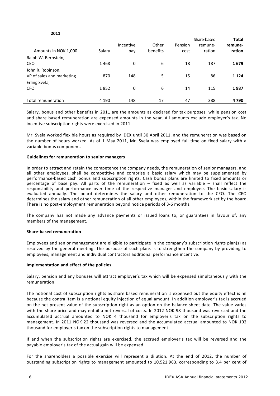# **2011**

|                           |         |           |          |         | Share-based | <b>Total</b> |
|---------------------------|---------|-----------|----------|---------|-------------|--------------|
|                           |         | Incentive | Other    | Pension | remune-     | remune-      |
| Amounts in NOK 1,000      | Salary  | pay       | benefits | cost    | ration      | ration       |
| Ralph W. Bernstein,       |         |           |          |         |             |              |
| <b>CEO</b>                | 1468    | 0         | 6        | 18      | 187         | 1679         |
| John R. Robinson,         |         |           |          |         |             |              |
| VP of sales and marketing | 870     | 148       | 5        | 15      | 86          | 1 1 2 4      |
| Erling Svela,             |         |           |          |         |             |              |
| <b>CFO</b>                | 1852    | 0         | 6        | 14      | 115         | 1987         |
|                           |         |           |          |         |             |              |
| Total remuneration        | 4 1 9 0 | 148       | 17       | 47      | 388         | 4790         |

Salary, bonus and other benefits in 2011 are the amounts as declared for tax purposes, while pension cost and share based remuneration are expensed amounts in the year. All amounts exclude employer's tax. No incentive subscription rights were exercised in 2011.

Mr. Svela worked flexible hours as required by IDEX until 30 April 2011, and the remuneration was based on the number of hours worked. As of 1 May 2011, Mr. Svela was employed full time on fixed salary with a variable bonus component.

#### **Guidelines for remuneration to senior managers**

In order to attract and retain the competence the company needs, the remuneration of senior managers, and all other employees, shall be competitive and comprise a basic salary which may be supplemented by performance‐based cash bonus and subscription rights. Cash bonus plans are limited to fixed amounts or percentage of base pay. All parts of the remuneration – fixed as well as variable – shall reflect the responsibility and performance over time of the respective manager and employee. The basic salary is evaluated annually. The board determines the salary and other remuneration to the CEO. The CEO determines the salary and other remuneration of all other employees, within the framework set by the board. There is no post-employment remuneration beyond notice periods of 3-6 months.

The company has not made any advance payments or issued loans to, or guarantees in favour of, any members of the management.

#### **Share‐based remuneration**

Employees and senior management are eligible to participate in the company's subscription rights plan(s) as resolved by the general meeting. The purpose of such plans is to strengthen the company by providing to employees, management and individual contractors additional performance incentive.

# **Implementation and effect of the policies**

Salary, pension and any bonuses will attract employer's tax which will be expensed simultaneously with the remuneration.

The notional cost of subscription rights as share based remuneration is expensed but the equity effect is nil because the contra item is a notional equity injection of equal amount. In addition employer's tax is accrued on the net present value of the subscription right as an option on the balance sheet date. The value varies with the share price and may entail a net reversal of costs. In 2012 NOK 98 thousand was reversed and the accumulated accrual amounted to NOK 4 thousand for employer's tax on the subscription rights to management. In 2011 NOK 22 thousand was reversed and the accumulated accrual amounted to NOK 102 thousand for employer's tax on the subscription rights to management.

If and when the subscription rights are exercised, the accrued employer's tax will be reversed and the payable employer's tax of the actual gain will be expensed.

For the shareholders a possible exercise will represent a dilution. At the end of 2012, the number of outstanding subscription rights to management amounted to 10,521,963, corresponding to 3.4 per cent of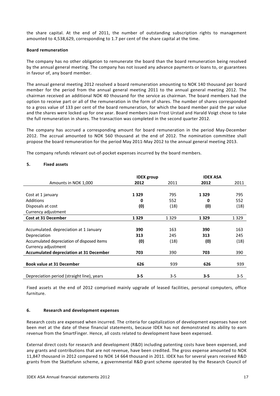the share capital. At the end of 2011, the number of outstanding subscription rights to management amounted to 4,538,629, corresponding to 1.7 per cent of the share capital at the time.

#### **Board remuneration**

The company has no other obligation to remunerate the board than the board remuneration being resolved by the annual general meeting. The company has not issued any advance payments or loans to, or guarantees in favour of, any board member.

The annual general meeting 2012 resolved a board remuneration amounting to NOK 140 thousand per board member for the period from the annual general meeting 2011 to the annual general meeting 2012. The chairman received an additional NOK 40 thousand for the service as chairman. The board members had the option to receive part or all of the remuneration in the form of shares. The number of shares corresponded to a gross value of 133 per cent of the board remuneration, for which the board member paid the par value and the shares were locked up for one year. Board members Joan Frost Urstad and Harald Voigt chose to take the full remuneration in shares. The transaction was completed in the second quarter 2012.

The company has accrued a corresponding amount for board remuneration in the period May‐December 2012. The accrual amounted to NOK 560 thousand at the end of 2012. The nomination committee shall propose the board remuneration for the period May 2011‐May 2012 to the annual general meeting 2013.

The company refunds relevant out-of-pocket expenses incurred by the board members.

# **5. Fixed assets**

|                                                | <b>IDEX</b> group |         | <b>IDEX ASA</b> |         |
|------------------------------------------------|-------------------|---------|-----------------|---------|
| Amounts in NOK 1,000                           | 2012              | 2011    | 2012            | 2011    |
|                                                |                   |         |                 |         |
| Cost at 1 january                              | 1329              | 795     | 1 3 2 9         | 795     |
| Additions                                      | 0                 | 552     | 0               | 552     |
| Disposals at cost                              | (0)               | (18)    | (0)             | (18)    |
| Currency adjustment                            |                   |         |                 |         |
| <b>Cost at 31 December</b>                     | 1 3 2 9           | 1 3 2 9 | 1 3 2 9         | 1 3 2 9 |
|                                                |                   |         |                 |         |
| Accumulated. depreciation at 1 January         | 390               | 163     | 390             | 163     |
| Depreciation                                   | 313               | 245     | 313             | 245     |
| Accumulated depreciation of disposed items     | (0)               | (18)    | (0)             | (18)    |
| Currency adjustment                            |                   |         |                 |         |
| <b>Accumulated depreciation at 31 December</b> | 703               | 390     | 703             | 390     |
|                                                |                   |         |                 |         |
| <b>Book value at 31 December</b>               | 626               | 939     | 626             | 939     |
|                                                |                   |         |                 |         |
| Depreciation period (straight line), years     | $3 - 5$           | $3 - 5$ | $3 - 5$         | $3 - 5$ |

Fixed assets at the end of 2012 comprised mainly upgrade of leased facilities, personal computers, office furniture.

# **6. Research and development expenses**

Research costs are expensed when incurred. The criteria for capitalization of development expenses have not been met at the date of these financial statements, because IDEX has not demonstrated its ability to earn revenue from the SmartFinger. Hence, all costs related to development have been expensed.

External direct costs for research and development (R&D) including patenting costs have been expensed, and any grants and contributions that are not revenue, have been credited. The gross expense amounted to NOK 11,847 thousand in 2012 compared to NOK 14 664 thousand in 2011. IDEX has for several years received R&D grants from the Skattefunn scheme, a governmental R&D grant scheme operated by the Research Council of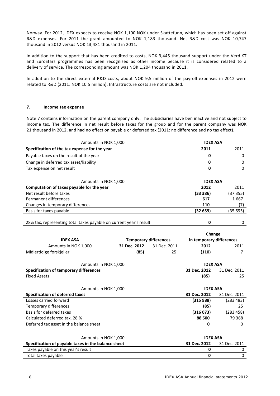Norway. For 2012, IDEX expects to receive NOK 1,100 NOK under Skattefunn, which has been set off against R&D expenses. For 2011 the grant amounted to NOK 1,183 thousand. Net R&D cost was NOK 10,747 thousand in 2012 versus NOK 13,481 thousand in 2011.

In addition to the support that has been credited to costs, NOK 3,445 thousand support under the VerdIKT and EuroStars programmes has been recognised as other income because it is considered related to a delivery of service. The corresponding amount was NOK 1,204 thousand in 2011.

In addition to the direct external R&D costs, about NOK 9,5 million of the payroll expenses in 2012 were related to R&D (2011: NOK 10.5 million). Infrastructure costs are not included.

# **7. Income tax expense**

Note 7 contains information on the parent company only. The subsidiaries have ben inactive and not subject to income tax. The difference in net result before taxes for the group and for the parent company was NOK 21 thousand in 2012, and had no effect on payable or deferred tax (2011: no difference and no tax effect).

| Amounts in NOK 1,000                                               |                                                          |              | <b>IDEX ASA</b> |                |
|--------------------------------------------------------------------|----------------------------------------------------------|--------------|-----------------|----------------|
| Specification of the tax expense for the year                      |                                                          |              | 2011            | 2011           |
| Payable taxes on the result of the year                            |                                                          |              | 0               | 0              |
| Change in deferred tax asset/liability                             |                                                          |              | 0               | 0              |
| Tax expense on net result                                          |                                                          |              | 0               | $\mathbf 0$    |
|                                                                    |                                                          |              |                 |                |
| Amounts in NOK 1,000                                               |                                                          |              | <b>IDEX ASA</b> |                |
| Computation of taxes payable for the year                          |                                                          |              | 2012            | 2011           |
| Net result before taxes                                            |                                                          |              | (33 386)        | (37355)        |
| Permanent differences                                              |                                                          |              | 617             | 1667           |
| Changes in temporary differences                                   |                                                          |              | 110             | (7)            |
| Basis for taxes payable                                            |                                                          |              | (32659)         | (35695)        |
|                                                                    |                                                          |              |                 |                |
| 28% tax, representing total taxes payable on current year's result |                                                          |              | 0               | 0              |
|                                                                    |                                                          |              |                 |                |
|                                                                    |                                                          |              | Change          |                |
| <b>IDEX ASA</b>                                                    | in temporary differences<br><b>Temporary differences</b> |              |                 |                |
| 31 Dec. 2012<br>Amounts in NOK 1,000                               |                                                          | 31 Dec. 2011 | 2012            | 2011           |
| Midlertidige forskjeller                                           | (85)                                                     | 25           | (110)           | $\overline{7}$ |
|                                                                    |                                                          |              |                 |                |
| Amounts in NOK 1,000                                               |                                                          |              | <b>IDEX ASA</b> |                |
| <b>Specification of temporary differences</b>                      |                                                          |              | 31 Dec. 2012    | 31 Dec. 2011   |
| <b>Fixed Assets</b>                                                |                                                          |              | (85)            | 25             |
|                                                                    |                                                          |              |                 |                |
| Amounts in NOK 1,000                                               |                                                          |              | <b>IDEX ASA</b> |                |
| <b>Specification of deferred taxes</b>                             |                                                          |              | 31 Dec. 2012    | 31 Dec. 2011   |
| Losses carried forward                                             |                                                          |              | (315988)        | (283 483)      |
| Temporary differences                                              |                                                          |              | (85)            | 25             |
| Basis for deferred taxes                                           |                                                          |              | (316073)        | (283 458)      |
| Calculated deferred tax, 28 %                                      |                                                          |              | 88 500          | 79 368         |
| Deferred tax asset in the balance sheet                            |                                                          |              | 0               | 0              |
|                                                                    |                                                          |              |                 |                |
| Amounts in NOK 1,000                                               |                                                          |              | <b>IDEX ASA</b> |                |
| Specification of payable taxes in the balance sheet                |                                                          |              | 31 Dec. 2012    | 31 Dec. 2011   |

| Specification of payable taxes in the balance sheet | 31 Dec. 2012 | 31 Dec. 2011 |
|-----------------------------------------------------|--------------|--------------|
| Taxes payable on this year's result                 |              |              |
| Total taxes payable                                 |              |              |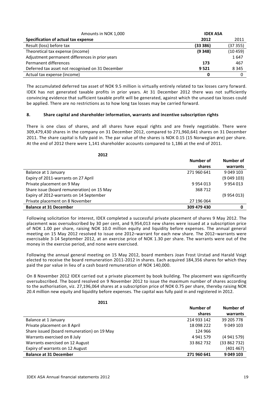| Amounts in NOK 1,000                             | <b>IDEX ASA</b> |          |
|--------------------------------------------------|-----------------|----------|
| Specification of actual tax expense              | 2012            | 2011     |
| Result (loss) before tax                         | (33386)         | (37355)  |
| Theoretical tax expense (income)                 | (9348)          | (10 459) |
| Adjustment permanent differences in prior years  |                 | 1647     |
| Permanent differences                            | 173             | 467      |
| Deferred tax asset not recognised on 31 December | 9521            | 8 3 4 5  |
| Actual tax expense (income)                      | n               |          |

The accumulated deferred tax asset of NOK 9.5 million is virtually entirely related to tax losses carry forward. IDEX has not generated taxable profits in prior years. At 31 December 2012 there was not sufficiently convincing evidence that sufficient taxable profit will be generated, against which the unused tax losses could be applied. There are no restrictions as to how long tax losses may be carried forward.

# **8. Share capital and shareholder information, warrants and incentive subscription rights**

There is one class of shares, and all shares have equal rights and are freely negotiable. There were 309,479,430 shares in the company on 31 December 2012, compared to 271,960,641 shares on 31 December 2011. The share capital is fully paid in. The par value of the shares is NOK 0.15 (15 Norwegian øre) per share. At the end of 2012 there were 1,141 shareholder accounts compared to 1,186 at the end of 2011.

| 2012                                       |             |           |
|--------------------------------------------|-------------|-----------|
|                                            | Number of   | Number of |
|                                            | shares      | warrants  |
| Balance at 1 January                       | 271 960 641 | 9 049 103 |
| Expiry of 2011-warrants on 27 April        |             | (9049103) |
| Private placement on 9 May                 | 9954013     | 9954013   |
| Share issue (board remuneration) on 15 May | 368 712     |           |
| Expiry of 2012-warrants on 14 September    |             | (9954013) |
| Private placement on 8 November            | 27 196 064  |           |
| <b>Balance at 31 December</b>              | 309 479 430 | 0         |

Following solicitation for interest, IDEX completed a successful private placement of shares 9 May 2012. The placement was oversubscribed by 30 per cent, and 9,954,013 new shares were issued at a subscription price of NOK 1.00 per share, raising NOK 10.0 million equity and liquidity before expenses. The annual general meeting on 15 May 2012 resolved to issue one 2012–warrant for each new share. The 2012–warrants were exercisable 3‐14 September 2012, at an exercise price of NOK 1.30 per share. The warrants were out of the money in the exercise period, and none were exercised.

Following the annual general meeting on 15 May 2012, board members Joan Frost Urstad and Harald Voigt elected to receive the board remuneration 2011‐2012 in shares. Each acquired 184,356 shares for which they paid the par value in lieu of a cash board remuneration of NOK 140,000.

On 8 November 2012 IDEX carried out a private placement by book building. The placement was significantly oversubscribed. The board resolved on 9 November 2012 to issue the maximum number of shares according to the authorisation, viz. 27,196,064 shares at a subscription price of NOK 0.75 per share, thereby raising NOK 20.4 million new equity and liquidity before expenses. The capital was fully paid in and registered in 2012.

| I<br>×<br>۰, |  |
|--------------|--|

|                                             | Number of   | Number of  |
|---------------------------------------------|-------------|------------|
|                                             | shares      | warrants   |
| Balance at 1 January                        | 214 933 142 | 39 205 778 |
| Private placement on 8 April                | 18 098 222  | 9 049 103  |
| Share issued (board remuneration) on 19 May | 124 966     |            |
| Warrants exercised on 8 July                | 4 941 579   | (4941579)  |
| Warrants exercised on 12 August             | 33 862 732  | (33862732) |
| Expiry of warrants on 12 August             |             | (401467)   |
| <b>Balance at 31 December</b>               | 271 960 641 | 9 049 103  |
|                                             |             |            |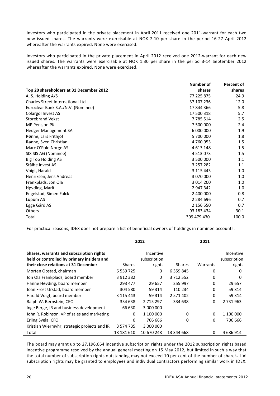Investors who participated in the private placement in April 2011 received one 2011‐warrant for each two new issued shares. The warrants were exercisable at NOK 2.10 per share in the period 16‐27 April 2012 whereafter the warrants expired. None were exercised.

Investors who participated in the private placement in April 2012 received one 2012-warrant for each new issued shares. The warrants were exercisable at NOK 1.30 per share in the period 3‐14 September 2012 whereafter the warrants expired. None were exercised.

|                                         | Number of     | Percent of |
|-----------------------------------------|---------------|------------|
| Top 20 shareholders at 31 December 2012 | shares        | shares     |
| A. S. Holding A/S                       | 77 225 875    | 24.9       |
| <b>Charles Street International Ltd</b> | 37 107 236    | 12.0       |
| Euroclear Bank S.A./N.V. (Nominee)      | 17844366      | 5.8        |
| Colargol Invest AS                      | 17 500 318    | 5.7        |
| <b>Storebrand Vekst</b>                 | 7 785 514     | 2.5        |
| MP Pensjon PK                           | 7 500 000     | 2.4        |
| Hedger Management SA                    | 6 000 000     | 1.9        |
| Rønne, Lars Frithjof                    | 5 700 000     | 1.8        |
| Rønne, Sven Christian                   | 4760953       | 1.5        |
| Marc O'Polo Norge AS                    | 4 613 148     | 1.5        |
| SIX SIS AG (Nominee)                    | 4 5 1 3 0 7 3 | 1.5        |
| Big Top Holding AS                      | 3 500 000     | 1.1        |
| Stålhe Invest AS                        | 3 257 282     | 1.1        |
| Voigt, Harald                           | 3 115 443     | 1.0        |
| Henriksen, Jens Andreas                 | 3 070 000     | 1.0        |
| Frankplads, Jon Ola                     | 3 0 14 200    | 1.0        |
| Høvding, Marit                          | 2 947 342     | 1.0        |
| Engelstad, Simen Falck                  | 2 400 000     | 0.8        |
| Lupum AS                                | 2 2 8 4 6 9 6 | 0.7        |
| Egge Gård AS                            | 2 156 550     | 0.7        |
| Others                                  | 93 183 434    | 30.1       |
| Total                                   | 309 479 430   | 100.0      |

For practical reasons, IDEX does not prepare a list of beneficial owners of holdings in nominee accounts.

|                                                                                                                                |               | 2012                                |               | 2011     |                                     |
|--------------------------------------------------------------------------------------------------------------------------------|---------------|-------------------------------------|---------------|----------|-------------------------------------|
| Shares, warrants and subscription rights<br>held or controlled by primary insiders and<br>their close relations at 31 December | <b>Shares</b> | Incentive<br>subscription<br>rights | <b>Shares</b> | Warrants | Incentive<br>subscription<br>rights |
| Morten Opstad, chairman                                                                                                        | 6 5 5 9 7 2 5 | $\Omega$                            | 6 3 5 9 8 4 5 | 0        | $\Omega$                            |
| Jon Ola Frankplads, board member                                                                                               | 3 912 382     | 0                                   | 3712552       | 0        | 0                                   |
| Hanne Høvding, board member                                                                                                    | 293 477       | 29 657                              | 255 997       | 0        | 29 657                              |
| Joan Frost Urstad, board member                                                                                                | 304 580       | 59 314                              | 110 234       | 0        | 59 314                              |
| Harald Voigt, board member                                                                                                     | 3 115 443     | 59 314                              | 2 571 402     | $\Omega$ | 59 314                              |
| Ralph W. Bernstein, CEO                                                                                                        | 334 638       | 2 7 1 5 2 9 7                       | 334 638       | 0        | 2 731 963                           |
| Inge Berge, IR and business development                                                                                        | 66 630        | 3 000 000                           |               |          |                                     |
| John R. Robinson, VP of sales and marketing                                                                                    | 0             | 1 100 000                           | 0             | $\Omega$ | 1 100 000                           |
| Erling Svela, CFO                                                                                                              | $\Omega$      | 706 666                             | $\Omega$      | $\Omega$ | 706 666                             |
| Kristian Wiermyhr, strategic projects and IR                                                                                   | 3 5 7 4 7 3 5 | 3 000 000                           |               |          |                                     |
| Total                                                                                                                          | 18 18 16 10   | 10 670 248                          | 13 344 668    | $\Omega$ | 4 686 914                           |

The board may grant up to 27,196,064 incentive subscription rights under the 2012 subscription rights based incentive programme resolved by the annual general meeting on 15 May 2012, but limited in such a way that the total number of subscription rights outstanding may not exceed 10 per cent of the number of shares. The subscription rights may be granted to employees and individual contractors performing similar work in IDEX.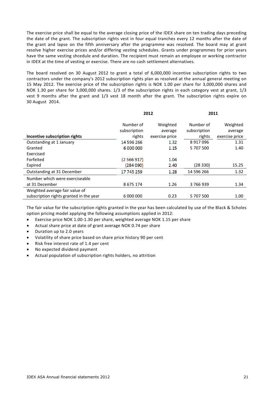The exercise price shall be equal to the average closing price of the IDEX share on ten trading days preceding the date of the grant. The subscription rights vest in four equal tranches every 12 months after the date of the grant and lapse on the fifth anniversary after the programme was resolved. The board may at grant resolve higher exercise prices and/or differing vesting schedules. Grants under programmes for prior years have the same vesting shcedule and duration. The recipient must remain an employee or working contractor in IDEX at the time of vesting or exercise. There are no cash settlement alternatives.

The board resolved on 30 August 2012 to grant a total of 6,000,000 incentive subscription rights to two contractors under the company's 2012 subscription rights plan as resolved at the annual general meeting on 15 May 2012. The exercise price of the subscription rights is NOK 1.00 per share for 3,000,000 shares and NOK 1.30 per share for 3,000,000 shares. 1/3 of the subscription rights in each category vest at grant, 1/3 vest 9 months after the grant and 1/3 vest 18 month after the grant. The subscription rights expire on 30 August 2014.

| 2012         |                | 2011         |                |
|--------------|----------------|--------------|----------------|
| Number of    | Weighted       | Number of    | Weighted       |
| subscription | average        | subscription | average        |
| rights       | exercise price | rights       | exercise price |
| 14 596 266   | 1.32           | 8917096      | 1.31           |
| 6 000 000    | 1.15           | 5 707 500    | 1.40           |
|              |                |              |                |
| (2566917)    | 1.04           |              |                |
| (284090)     | 2.40           | (28 330)     | 15.25          |
| 17 745 259   | 1.28           | 14 596 266   | 1.32           |
|              |                |              |                |
| 8 675 174    | 1.26           | 3766939      | 1.34           |
|              |                |              |                |
| 6 000 000    | 0.23           | 5 707 500    | 1.00           |
|              |                |              |                |

The fair value for the subscription rights granted in the year has been calculated by use of the Black & Scholes option pricing model applying the following assumptions applied in 2012:

- Exercise price NOK 1.00‐1.30 per share, weighted average NOK 1.15 per share
- Actual share price at date of grant average NOK 0.74 per share
- Duration up to 2.0 years
- Volatility of share price based on share price history 90 per cent
- Risk free interest rate of 1.4 per cent
- No expected dividend payment
- Actual population of subscription rights holders, no attrition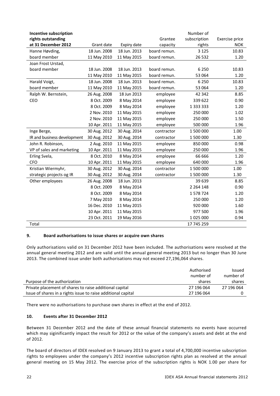| Incentive subscription      |              |              |              | Number of    |                |
|-----------------------------|--------------|--------------|--------------|--------------|----------------|
| rights outstanding          |              |              | Grantee      | subscription | Exercise price |
| at 31 December 2012         | Grant date   | Expiry date  | capacity     | rights       | <b>NOK</b>     |
| Hanne Høvding,              | 18 Jun. 2008 | 18 Jun. 2013 | board remun. | 3 1 2 5      | 10.83          |
| board member                | 11 May 2010  | 11 May 2015  | board remun. | 26 5 32      | 1.20           |
| Joan Frost Urstad,          |              |              |              |              |                |
| board member                | 18 Jun. 2008 | 18 Jun. 2013 | board remun. | 6 2 5 0      | 10.83          |
|                             | 11 May 2010  | 11 May 2015  | board remun. | 53 064       | 1.20           |
| Harald Voigt,               | 18 Jun. 2008 | 18 Jun. 2013 | board remun. | 6 2 5 0      | 10.83          |
| board member                | 11 May 2010  | 11 May 2015  | board remun. | 53 064       | 1.20           |
| Ralph W. Bernstein,         | 26 Aug. 2008 | 18 Jun 2013  | employee     | 42 342       | 8.85           |
| CEO                         | 8 Oct. 2009  | 8 May 2014   | employee     | 339 622      | 0.90           |
|                             | 8 Oct. 2009  | 8 May 2014   | employee     |              | 1.20           |
|                             | 2 Nov. 2010  | 11 May 2015  | employee     | 250 000      | 1.02           |
|                             | 2 Nov. 2010  | 11 May 2015  | employee     | 250 000      | 1.50           |
|                             | 10 Apr. 2011 | 11 May 2015  | employee     | 500 000      | 1.96           |
| Inge Berge,                 | 30 Aug. 2012 | 30 Aug. 2014 | contractor   | 1 500 000    | 1.00           |
| IR and business development | 30 Aug. 2012 | 30 Aug. 2014 | contractor   | 1 500 000    | 1.30           |
| John R. Robinson,           | 2 Aug. 2010  | 11 May 2015  | employee     | 850 000      | 0.98           |
| VP of sales and marketing   | 10 Apr. 2011 | 11 May 2015  | employee     | 250 000      | 1.96           |
| Erling Svela,               | 8 Oct. 2010  | 8 May 2014   | employee     | 66 666       | 1.20           |
| <b>CFO</b>                  | 10 Apr. 2011 | 11 May 2015  | employee     | 640 000      | 1.96           |
| Kristian Wiermyhr,          | 30 Aug. 2012 | 30 Aug. 2014 | contractor   | 1 500 000    | 1.00           |
| strategic projects og IR    | 30 Aug. 2012 | 30 Aug. 2014 | contractor   | 1 500 000    | 1.30           |
| Other employees             | 26 Aug. 2008 | 18 Jun. 2013 |              | 39 639       | 8.85           |
|                             | 8 Oct. 2009  | 8 May 2014   |              | 2 2 64 148   | 0.90           |
|                             | 8 Oct. 2009  | 8 May 2014   |              | 1578724      | 1.20           |
|                             | 7 May 2010   | 8 May 2014   |              | 250 000      | 1.20           |
|                             | 16 Dec. 2010 | 11 May 2015  |              | 920 000      | 1.60           |
|                             | 10 Apr. 2011 | 11 May 2015  |              | 977 500      | 1.96           |
|                             | 23 Oct. 2011 | 19 May 2016  |              | 1025000      | 0.94           |
| Total                       |              |              |              | 17 745 259   |                |

# **9. Board authorisations to issue shares or acquire own shares**

Only authorisations valid on 31 December 2012 have been included. The authorisations were resolved at the annual general meeting 2012 and are valid until the annual general meeting 2013 but no longer than 30 June 2013. The combined issue under both authorisations may not exceed 27,196,064 shares.

|                                                               | Authorised | <b>Issued</b> |
|---------------------------------------------------------------|------------|---------------|
|                                                               | number of  | number of     |
| Purpose of the authorization                                  | shares     | shares        |
| Private placement of shares to raise additional capital       | 27 196 064 | 27 196 064    |
| Issue of shares in a rights issue to raise additional capital | 27 196 064 |               |

There were no authorisations to purchase own shares in effect at the end of 2012.

# **10. Events after 31 December 2012**

Between 31 December 2012 and the date of these annual financial statements no events have occurred which may siginificantly impact the result for 2012 or the value of the company's assets and debt at the end of 2012.

The board of directors of IDEX resolved on 9 January 2013 to grant a total of 4,700,000 incentive subscription rights to employees under the company's 2012 incentive subscription rights plan as resolved at the annual general meeting on 15 May 2012. The exercise price of the subscription rights is NOK 1.00 per share for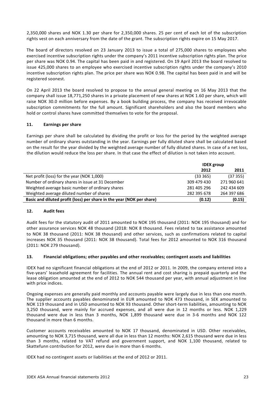2,350,000 shares and NOK 1.30 per share for 2,350,000 shares. 25 per cent of each lot of the subscription rights vest on each anniversary from the date of the grant. The subscription rights expire on 15 May 2017.

The board of directors resolved on 23 January 2013 to issue a total of 275,000 shares to employees who exercised incentive subscription rights under the company's 2011 incentive subscription rights plan. The price per share was NOK 0.94. The capital has been paid in and registered. On 19 April 2013 the board resolved to issue 425,000 shares to an employee who exercised incentive subscription rights under the company's 2010 incentive subscription rights plan. The price per share was NOK 0.98. The capital has been paid in and will be registered soonest.

On 22 April 2013 the board resolved to propose to the annual general meeting on 16 May 2013 that the company shall issue 18,771,250 shares in a private placement of new shares at NOK 1.60 per share, which will raise NOK 30.0 million before expenses. By a book building process, the company has received irrevocable subscription commitments for the full amount. Significant shareholders and also the board members who hold or control shares have committed themselves to vote for the proposal.

# **11. Earnings per share**

Earnings per share shall be calculated by dividing the profit or loss for the period by the weighted average number of ordinary shares outstanding in the year. Earnings per fully diluted share shall be calculated based on the result for the year divided by the weighted average number of fully diluted shares. In case of a net loss, the dilution would reduce the loss per share. In that case the effect of dilution is not taken into account.

|                                                                       | <b>IDEX</b> group |             |
|-----------------------------------------------------------------------|-------------------|-------------|
|                                                                       | 2012              | 2011        |
| Net profit (loss) for the year (NOK 1,000)                            | (33365)           | (37355)     |
| Number of ordinary shares in issue at 31 December                     | 309 479 430       | 271 960 641 |
| Weighted average basic number of ordinary shares                      | 281 405 296       | 242 434 609 |
| Weighted average diluted number of shares                             | 282 395 678       | 264 397 686 |
| Basic and diluted profit (loss) per share in the year (NOK per share) | (0.12)            | (0.15)      |

# **12. Audit fees**

Audit fees for the statutory audit of 2011 amounted to NOK 195 thousand (2011: NOK 195 thousand) and for other assurance services NOK 48 thousand (2018: NOK 8 thousand. Fees related to tax assistance amounted to NOK 38 thousand (2011: NOK 38 thousand) and other services, such as confirmations related to capital increases NOK 35 thousand (2011: NOK 38 thousand). Total fees for 2012 amounted to NOK 316 thousand (2011: NOK 279 thousand).

# **13. Financial obligations; other payables and other receivables; contingent assets and liabilities**

IDEX had no significant financial obligations at the end of 2012 or 2011. In 2009, the company entered into a five‐years' leasehold agreement for facilities. The annual rent and cost sharing is prepaid quarterly and the lease obligation amounted at the end of 2012 to NOK 544 thousand per year, with annual adjustment in line with price indices.

Ongoing expenses are generally paid monthly and accounts payable were largely due in less than one month. The supplier accounts payables denominated in EUR amounted to NOK 473 thousand, in SEK amounted to NOK 119 thousand and in USD amounted to NOK 93 thousand. Other short-term liabilities, amounting to NOK 3,250 thousand, were mainly for accrued expenses, and all were due in 12 months or less. NOK 1,229 thousand were due in less than 3 months, NOK 1,899 thousand were due in 3‐6 months and NOK 122 thousand in more than 6 months.

Customer accounts receivables amounted to NOK 17 thousand, denominated in USD. Other receivables, amounting to NOK 3,715 thousand, were all due in less than 12 months: NOK 2,615 thousand were due in less than 3 months, related to VAT refund and government support, and NOK 1,100 thousand, related to Skattefunn contribution for 2012, were due in more than 6 months.

IDEX had no contingent assets or liabilities at the end of 2012 or 2011.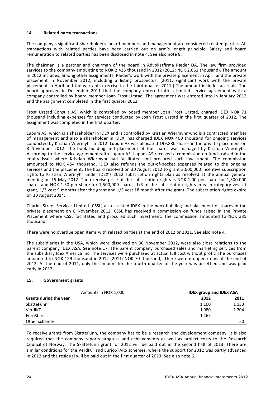# **14. Related party transactions**

The company's significant shareholders, board members and management are considered related parties. All transactions with related parties have been carried out on arm's length principle. Salary and board remuneration to related parties has been disclosed in note 4. See also note 8.

The chairman is a partner and chairman of the board in Advokatfirma Ræder DA. The law firm provided services to the company amounting to NOK 2,425 thousand in 2012 (2012: NOK 2,061 thousand). The amount in 2012 includes, among other assignments, Ræder's work with the private placement in April and the private placement in November 2012, including a listing prospectus. (2011: significant work with the private placement in April and the warrants exercise in the third quarter 2011.) The amount includes accruals. The board approved in December 2011 that the company entered into a limited service agreement with a company controlled by board member Joan Frost Urstad. The agreement was entered into in January 2012 and the assignment completed in the first quarter 2012.

Frost Urstad Consult AS, which is controlled by board member Joan Frost Urstad, charged IDEX NOK 71 thousand including expenses for services conducted by Joan Frost Urstad in the first quarter of 2012. The assignment was completed in the first quarter.

Lupum AS, which is a shareholder in IDEX and is controlled by Kristian Wiermyhr who is a contracted member of management and also a shareholder in IDEX, has charged IDEX NOK 400 thousand for ongoing services conducted by Kristian Wiermyhr in 2012. Lupum AS was allocated 199,880 shares in the private placement on 8 November 2012. The book building and placement of the shares was managed by Kristian Wiermyhr. According to the service agreement with Lupum AS, Lupum AS received a commission on funds raised in the equity issue where Kristian Wiermyhr had facilitated and procured such investment. The commission amounted to NOK 454 thousand. IDEX also refunds the out-of-pocket expenses related to the ongoing services and the placement. The board resolved on 30 August 2012 to grant 3,000,000 incentive subscription rights to Kristian Wiermyhr under IDEX's 2012 subscription rights plan as resolved at the annual general meeting on 15 May 2012. The exercise price of the subscription rights is NOK 1.00 per share for 1,500,000 shares and NOK 1.30 per share for 1,500,000 shares. 1/3 of the subscription rights in each category vest at grant, 1/3 vest 9 months after the grant and 1/3 vest 18 month after the grant. The subscription rights expire on 30 August 2014.

Charles Street Services Limited (CSSL) also assisted IDEX in the book building and placement of shares in the private placement on 8 November 2012. CSSL has received a commission on funds raised in the Private Placement where CSSL facilitated and procured such investment. The commission amounted to NOK 335 thousand.

There were no overdue open items with related parties at the end of 2012 or 2011. See also note 4.

The subsidiaries in the USA, which were dissolved on 30 November 2012, were also close relations to the parent company IDEX ASA. See note 17. The parent company purchased sales and marketing services from the subsidiary Idex America Inc. The services were purchased at actual full cost without profit. The purchases amounted to NOK 129 thousand in 2012 (2011: NOK 70 thousand). There were no open items at the end of 2012. At the end of 2011, only the amount for the fourth quarter of the year was unsettled and was paid early in 2012.

# **15. Government grants**

| Amounts in NOK 1,000   | <b>IDEX group and IDEX ASA</b> |         |
|------------------------|--------------------------------|---------|
| Grants during the year | 2012                           | 2011    |
| SkatteFunn             | 1 100                          | 1 1 3 3 |
| VerdIKT                | 1980                           | 1 2 0 4 |
| EuroStars              | 1465                           |         |
| Other schemes          |                                | 50      |

To receive grants from SkatteFunn, the company has to be a research and development company. It is also required that the company reports progress and achievements as well as project costs to the Research Council of Norway. The Skattefunn grant for 2012 will be paid out in the second half of 2013. There are similar conditions for the VerdIKT and EurjoSTARS schemes, where the support for 2012 was partly advanced in 2012 and the residual will be paid out in the first quarter of 2013. See also note 6.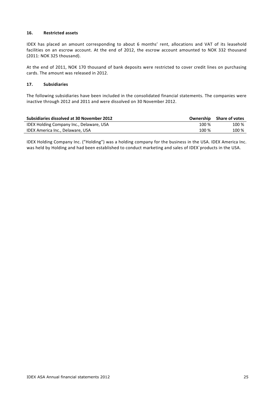# **16. Restricted assets**

IDEX has placed an amount corresponding to about 6 months' rent, allocations and VAT of its leasehold facilities on an escrow account. At the end of 2012, the escrow account amounted to NOK 332 thousand (2011: NOK 325 thousand).

At the end of 2011, NOK 170 thousand of bank deposits were restricted to cover credit lines on purchasing cards. The amount was released in 2012.

#### **17. Subsidiaries**

The following subsidiaries have been included in the consolidated financial statements. The companies were inactive through 2012 and 2011 and were dissolved on 30 November 2012.

| Subsidiaries dissolved at 30 November 2012 | Ownership | <b>Share of votes</b> |
|--------------------------------------------|-----------|-----------------------|
| IDEX Holding Company Inc., Delaware, USA   | 100 %     | 100 %                 |
| IDEX America Inc., Delaware, USA           | 100 %     | 100 %                 |

IDEX Holding Company Inc. ("Holding") was a holding company for the business in the USA. IDEX America Inc. was held by Holding and had been established to conduct marketing and sales of IDEX`products in the USA.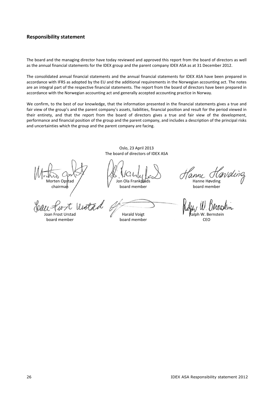# **Responsibility statement**

The board and the managing director have today reviewed and approved this report from the board of directors as well as the annual financial statements for the IDEX group and the parent company IDEX ASA as at 31 December 2012.

The consolidated annual financial statements and the annual financial statements for IDEX ASA have been prepared in accordance with IFRS as adopted by the EU and the additional requirements in the Norwegian accounting act. The notes are an integral part of the respective financial statements. The report from the board of directors have been prepared in accordance with the Norwegian accounting act and generally accepted accounting practice in Norway.

We confirm, to the best of our knowledge, that the information presented in the financial statements gives a true and fair view of the group's and the parent company's assets, liabilities, financial position and result for the period viewed in their entirety, and that the report from the board of directors gives a true and fair view of the development, performance and financial position of the group and the parent company, and includes a description of the principal risks and uncertainties which the group and the parent company are facing.

> Oslo, 23 April 2013 The board of directors of IDEX ASA

chairman / V board member board member

Morten Opstad / Jon Ola Frankplads Hanne Høvding

board member board member CEO

anne Havding

Joan Frost Urstad Millet Ralph W. Bernstein Millet Ralph W. Bernstein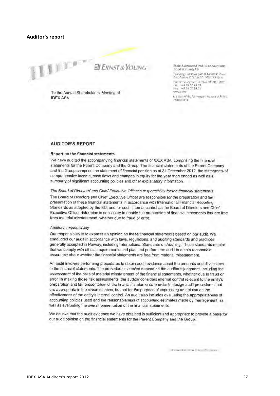#### **Auditor's report**



To the Annual Shareholders' Meeting of **IDEX ASA** 

State Authorised Public Accountants Ernst & Young AS

Dránning Lufothias gato 8 NO-0191 Osin 36lo Atrium, P.O. Bax 20, NO-8051 Usin Business Register: NO/376 386 387 MM/<br>Taji : H47 24 20 24 83<br>H4x : H47 24 20 24.51 WWW.By TTD

Michael of the Norwegian Institute of Public Ambaumtanas

#### **AUDITOR'S REPORT**

#### Report on the financial statements

We have audited the accompanying financial statements of IDEX ASA, comprising the financial statements for the Parent Company and the Group. The financial statements of the Parent Company and the Group comprise the statement of financial position as at 31 December 2012, the statements of comprehensive income, cash flows and changes in equity for the year then ended as well as a summary of significant accounting policies and other explanatory information.

The Board of Directors' and Chief Executive Officer's responsibility for the financial statements The Board of Directors and Chief Executive Officer are responsible for the preparation and fair presentation of these financial statements in accordance with International Financial Reporting Standards as adopted by the EU, and for such internal control as the Board of Directors and Chief Executive Officer determine is necessary to enable the preparation of financial statements that are free from material misstatement, whether due to fraud or error.

#### Auditor's responsibility

Our responsibility is to express an opinion on these financial statements based on our audit. We conducted our audit in accordance with laws, regulations, and auditing standards and practices generally accepted in Norway, including International Standards on Auditing. Those standards require that we comply with ethical requirements and plan and perform the audit to obtain reasonable. assurance about whether the financial statements are free from material misstatement.

An audit involves performing procedures to obtain audit evidence about the amounts and disclosures in the financial statements. The procedures selected depend on the auditor's judgment, including the assessment of the risks of material misstatement of the financial statements, whether due to fraud or error. In making those risk assessments, the auditor considers internal control relevant to the entity's preparation and fair presentation of the financial statements in order to design audit procedures that are appropriate in the circumstances, but not for the purpose of expressing an opinion on the effectiveness of the entity's internal control. An audit also includes evaluating the appropriateness of accounting policies used and the reasonableness of accounting estimates made by management, as well as evaluating the overall presentation of the financial statements.

We believe that the audit evidence we have obtained is sufficient and appropriate to provide a basis for our audit opinion on the financial statements for the Parent Company and the Group.

Welsham a minimum & an options comes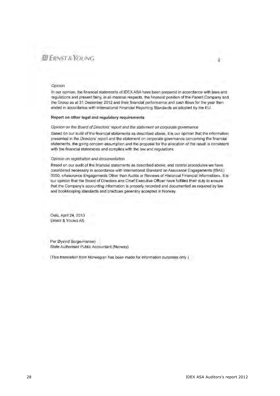# EL ERNST & YOUNG

#### Opinion

In our opinion, the financial statements of IDEX ASA have been prepared in accordance with laws and regulations and present fairly, in all material respects, the financial position of the Parent Company and the Group as at 31 December 2012 and their financial performance and cash flows for the year then ended in accordance with International Financial Reporting Standards as adopted by the EU.

#### Report on other legal and regulatory requirements

#### Opinion on the Board of Directors' report and the statement on corporate governance

Based on our audit of the financial statements as described above, it is our opinion that the information presented in the Directors' report and the statement on corporate governance concerning the financial statements, the going concern assumption and the proposal for the allocation of the result is consistent with the financial statements and complies with the law and regulations.

#### Opinion on redistration and documentation

Based on our audit of the financial statements as described above, and control procedures we have considered necessary in accordance with International Standard on Assurance Engagements (ISAE) 3000, «Assurance Engagements Other than Audits or Reviews of Historical Financial Information», it is our opinion that the Board of Directors and Chief Executive Officer have fulfilled their duty to ensure that the Company's accounting information is properly recorded and documented as required by law and bookkeeping standards and practices generally accepted in Norway.

Oslo, April 24, 2013 **ERNST & YOUNG AS** 

Per Øyvind Borge-Hansen State Authorised Public Accountant (Norway)

(This translation from Norwegian has been made for information purposes only )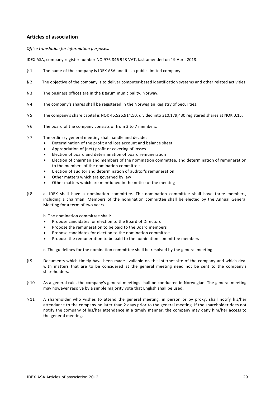# **Articles of association**

*Office translation for information purposes.*

IDEX ASA, company register number NO 976 846 923 VAT, last amended on 19 April 2013.

- § 1 The name of the company is IDEX ASA and it is a public limited company.
- § 2 The objective of the company is to deliver computer-based identification systems and other related activities.
- § 3 The business offices are in the Bærum municipality, Norway.
- § 4 The company's shares shall be registered in the Norwegian Registry of Securities.
- § 5 The company's share capital is NOK 46,526,914.50, divided into 310,179,430 registered shares at NOK 0.15.
- § 6 The board of the company consists of from 3 to 7 members.
- § 7 The ordinary general meeting shall handle and decide:
	- Determination of the profit and loss account and balance sheet
	- Appropriation of (net) profit or covering of losses
	- Election of board and determination of board remuneration
	- Election of chairman and members of the nomination committee, and determination of remuneration to the members of the nomination committee
	- Election of auditor and determination of auditor's remuneration
	- Other matters which are governed by law
	- Other matters which are mentioned in the notice of the meeting
- § 8 a. IDEX shall have a nomination committee. The nomination committee shall have three members, including a chairman. Members of the nomination committee shall be elected by the Annual General Meeting for a term of two years.

b. The nomination committee shall:

- Propose candidates for election to the Board of Directors
- Propose the remuneration to be paid to the Board members
- Propose candidates for election to the nomination committee
- Propose the remuneration to be paid to the nomination committee members

c. The guidelines for the nomination committee shall be resolved by the general meeting.

- § 9 Documents which timely have been made available on the Internet site of the company and which deal with matters that are to be considered at the general meeting need not be sent to the company's shareholders.
- § 10 As a general rule, the company's general meetings shall be conducted in Norwegian. The general meeting may however resolve by a simple majority vote that English shall be used.
- § 11 A shareholder who wishes to attend the general meeting, in person or by proxy, shall notify his/her attendance to the company no later than 2 days prior to the general meeting. If the shareholder does not notify the company of his/her attendance in a timely manner, the company may deny him/her access to the general meeting.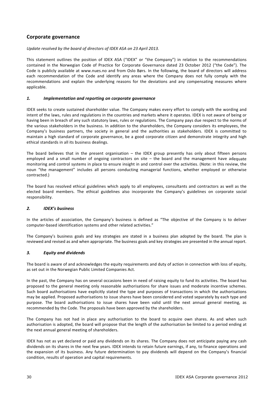# **Corporate governance**

*Update resolved by the board of directors of IDEX ASA on 23 April 2013.*

This statement outlines the position of IDEX ASA ("IDEX" or "the Company") in relation to the recommendations contained in the Norwegian Code of Practice for Corporate Governance dated 23 October 2012 ("the Code"). The Code is publicly available at www.nues.no and from Oslo Børs. In the following, the board of directors will address each recommendation of the Code and identify any areas where the Company does not fully comply with the recommendations and explain the underlying reasons for the deviations and any compensating measures where applicable.

#### *1. Implementation and reporting on corporate governance*

IDEX seeks to create sustained shareholder value. The Company makes every effort to comply with the wording and intent of the laws, rules and regulations in the countries and markets where it operates. IDEX is not aware of being or having been in breach of any such statutory laws, rules or regulations. The Company pays due respect to the norms of the various stakeholders in the business. In addition to the shareholders, the Company considers its employees, the Company's business partners, the society in general and the authorities as stakeholders. IDEX is committed to maintain a high standard of corporate governance, be a good corporate citizen and demonstrate integrity and high ethical standards in all its business dealings.

The board believes that in the present organisation – the IDEX group presently has only about fifteen persons employed and a small number of ongoing contractors on site – the board and the management have adequate monitoring and control systems in place to ensure insight in and control over the activities. (Note: in this review, the noun "the management" includes all persons conducting managerial functions, whether employed or otherwise contracted.)

The board has resolved ethical guidelines which apply to all employees, consultants and contractors as well as the elected board members. The ethical guidelines also incorporate the Company's guidelines on corporate social responsibility.

# *2. IDEX's business*

In the articles of association, the Company's business is defined as "The objective of the Company is to deliver computer‐based identification systems and other related activities."

The Company's business goals and key strategies are stated in a business plan adopted by the board. The plan is reviewed and revised as and when appropriate. The business goals and key strategies are presented in the annual report.

#### *3. Equity and dividends*

The board is aware of and acknowledges the equity requirements and duty of action in connection with loss of equity, as set out in the Norwegian Public Limited Companies Act.

In the past, the Company has on several occasions been in need of raising equity to fund its activities. The board has proposed to the general meeting only reasonable authorisations for share issues and moderate incentive schemes. Such board authorisations have explicitly stated the type and purposes of transactions in which the authorisations may be applied. Proposed authorisations to issue shares have been considered and voted separately by each type and purpose. The board authorisations to issue shares have been valid until the next annual general meeting, as recommended by the Code. The proposals have been approved by the shareholders.

The Company has not had in place any authorisation to the board to acquire own shares. As and when such authorisation is adopted, the board will propose that the length of the authorisation be limited to a period ending at the next annual general meeting of shareholders.

IDEX has not as yet declared or paid any dividends on its shares. The Company does not anticipate paying any cash dividends on its shares in the next few years. IDEX intends to retain future earnings, if any, to finance operations and the expansion of its business. Any future determination to pay dividends will depend on the Company's financial condition, results of operation and capital requirements.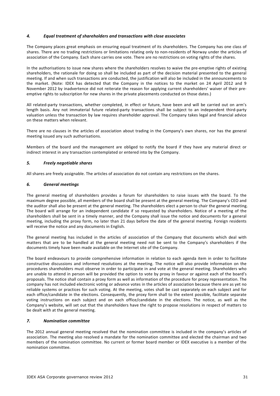# *4. Equal treatment of shareholders and transactions with close associates*

The Company places great emphasis on ensuring equal treatment of its shareholders. The Company has one class of shares. There are no trading restrictions or limitations relating only to non-residents of Norway under the articles of association of the Company. Each share carries one vote. There are no restrictions on voting rights of the shares.

In the authorisations to issue new shares where the shareholders resolves to waive the pre-emptive rights of existing shareholders, the rationale for doing so shall be included as part of the decision material presented to the general meeting. If and when such transactions are conducted, the justification will also be included in the announcements to the market. (Note: IDEX has detected that the Company in the notices to the market on 24 April 2012 and 9 November 2012 by inadvertence did not reiterate the reason for applying current shareholders' waiver of their pre‐ emptive rights to subscription for new shares in the private placements conducted on those dates.)

All related-party transactions, whether completed, in effect or future, have been and will be carried out on arm's length basis. Any not immaterial future related-party transactions shall be subject to an independent third-party valuation unless the transaction by law requires shareholder approval. The Company takes legal and financial advice on these matters when relevant.

There are no clauses in the articles of association about trading in the Company's own shares, nor has the general meeting issued any such authorisations.

Members of the board and the management are obliged to notify the board if they have any material direct or indirect interest in any transaction contemplated or entered into by the Company.

#### *5. Freely negotiable shares*

All shares are freely assignable. The articles of association do not contain any restrictions on the shares.

#### *6. General meetings*

The general meeting of shareholders provides a forum for shareholders to raise issues with the board. To the maximum degree possible, all members of the board shall be present at the general meeting. The Company's CEO and the auditor shall also be present at the general meeting. The shareholders elect a person to chair the general meeting. The board will arrange for an independent candidate if so requested by shareholders. Notice of a meeting of the shareholders shall be sent in a timely manner, and the Company shall issue the notice and documents for a general meeting, including the proxy form, no later than 21 days before the date of the general meeting. Foreign residents will receive the notice and any documents in English.

The general meeting has included in the articles of association of the Company that documents which deal with matters that are to be handled at the general meeting need not be sent to the Company's shareholders if the documents timely have been made available on the Internet site of the Company.

The board endeavours to provide comprehensive information in relation to each agenda item in order to facilitate constructive discussions and informed resolutions at the meeting. The notice will also provide information on the procedures shareholders must observe in order to participate in and vote at the general meeting. Shareholders who are unable to attend in person will be provided the option to vote by proxy in favour or against each of the board's proposals. The notice shall contain a proxy form as well as information of the procedure for proxy representation. The company has not included electronic voting or advance votes in the articles of association because there are as yet no reliable systems or practices for such voting. At the meeting, votes shall be cast separately on each subject and for each office/candidate in the elections. Consequently, the proxy form shall to the extent possible, facilitate separate voting instructions on each subject and on each office/candidate in the elections. The notice, as well as the Company's website, will set out that the shareholders have the right to propose resolutions in respect of matters to be dealt with at the general meeting.

#### *7. Nomination committee*

The 2012 annual general meeting resolved that the nomination committee is included in the company's articles of association. The meeting also resolved a mandate for the nomination committee and elected the chairman and two members of the nomination committee. No current or former board member or IDEX executive is a member of the nomination committee.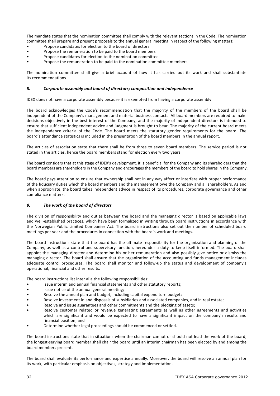The mandate states that the nomination committee shall comply with the relevant sections in the Code. The nomination committee shall prepare and present proposals to the annual general meeting in respect of the following matters:

- Propose candidates for election to the board of directors
- Propose the remuneration to be paid to the board members
- Propose candidates for election to the nomination committee
- Propose the remuneration to be paid to the nomination committee members

The nomination committee shall give a brief account of how it has carried out its work and shall substantiate its recommendations.

# *8. Corporate assembly and board of directors; composition and independence*

IDEX does not have a corporate assembly because it is exempted from having a corporate assembly.

The board acknowledges the Code's recommendation that the majority of the members of the board shall be independent of the Company's management and material business contacts. All board members are required to make decisions objectively in the best interest of the Company, and the majority of independent directors is intended to ensure that sufficient independent advice and judgment is brought to bear. The majority of the current board meets the independence criteria of the Code. The board meets the statutory gender requirements for the board. The board's attendance statistics is included in the presentation of the board members in the annual report.

The articles of association state that there shall be from three to seven board members. The service period is not stated in the articles, hence the board members stand for election every two years.

The board considers that at this stage of IDEX's development, it is beneficial for the Company and its shareholders that the board members are shareholders in the Company and encourages the members of the board to hold shares in the Company.

The board pays attention to ensure that ownership shall not in any way affect or interfere with proper performance of the fiduciary duties which the board members and the management owe the Company and all shareholders. As and when appropriate, the board takes independent advice in respect of its procedures, corporate governance and other compliance matters.

# *9. The work of the board of directors*

The division of responsibility and duties between the board and the managing director is based on applicable laws and well‐established practices, which have been formalized in writing through board instructions in accordance with the Norwegian Public Limited Companies Act. The board instructions also set out the number of scheduled board meetings per year and the procedures in connection with the board's work and meetings.

The board instructions state that the board has the ultimate responsibility for the organization and planning of the Company, as well as a control and supervisory function, hereunder a duty to keep itself informed. The board shall appoint the managing director and determine his or her remuneration and also possibly give notice or dismiss the managing director. The board shall ensure that the organization of the accounting and funds management includes adequate control procedures. The board shall monitor and follow-up the status and development of company's operational, financial and other results.

The board instructions list inter alia the following responsibilities:

- Issue interim and annual financial statements and other statutory reports;
- Issue notice of the annual general meeting;
- Resolve the annual plan and budget, including capital expenditure budget;
- Resolve investment in and disposals of subsidiaries and associated companies, and in real estate;
- Resolve and issue guarantees and other commitments and the pledging of assets;
- Resolve customer related or revenue generating agreements as well as other agreements and activities which are significant and would be expected to have a significant impact on the company's results and financial position; and
- Determine whether legal proceedings should be commenced or settled.

The board instructions state that in situations when the chairman cannot or should not lead the work of the board, the longest‐serving board member shall chair the board until an interim chairman has been elected by and among the board members present.

The board shall evaluate its performance and expertise annually. Moreover, the board will resolve an annual plan for its work, with particular emphasis on objectives, strategy and implementation.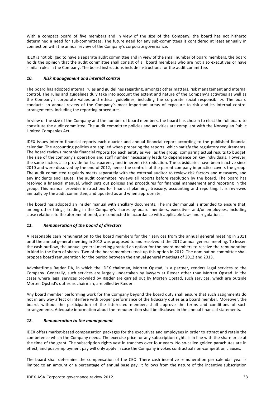With a compact board of five members and in view of the size of the Company, the board has not hitherto determined a need for sub‐committees. The future need for any sub‐committees is considered at least annually in connection with the annual review of the Company's corporate governance.

IDEX is not obliged to have a separate audit committee and in view of the small number of board members, the board holds the opinion that the audit committee shall consist of all board members who are not also executives or have similar roles in the Company. The board instructions include instructions for the audit committee.

# *10. Risk management and internal control*

The board has adopted internal rules and guidelines regarding, amongst other matters, risk management and internal control. The rules and guidelines duly take into account the extent and nature of the Company's activities as well as the Company's corporate values and ethical guidelines, including the corporate social responsibility. The board conducts an annual review of the Company's most important areas of exposure to risk and its internal control arrangements, including the reporting procedures.

In view of the size of the Company and the number of board members, the board has chosen to elect the full board to constitute the audit committee. The audit committee policies and activities are compliant with the Norwegian Public Limited Companies Act.

IDEX issues interim financial reports each quarter and annual financial report according to the published financial calendar. The accounting policies are applied when preparing the reports, which satisfy the regulatory requirements. The board reviews monthly financial reports for each entity as well as the group, comparing actual results to budget. The size of the company's operation and staff number necessarily leads to dependence on key individuals. However, the same factors also provide for transparency and inherent risk reduction. The subsidiaries have been inactive since 2010 and were dissolved by the end of 2012, hence the controls of the parent company in practice covers the group. The audit committee regularly meets separately with the external auditor to review risk factors and measures, and any incidents and issues. The audit committee reviews all reports before resolution by the board. The board has resolved a financial manual, which sets out policies and procedures for financial management and reporting in the group. This manual provides instructions for financial planning, treasury, accounting and reporting. It is reviewed annually by the audit committee, and updated as and when appropriate.

The board has adopted an insider manual with ancillary documents. The insider manual is intended to ensure that, among other things, trading in the Company's shares by board members, executives and/or employees, including close relations to the aforementioned, are conducted in accordance with applicable laws and regulations.

# *11. Remuneration of the board of directors*

A reasonable cash remuneration to the board members for their services from the annual general meeting in 2011 until the annual general meeting in 2012 was proposed to and resolved at the 2012 annual general meeting. To lessen the cash outflow, the annual general meeting granted an option for the board members to receive the remuneration in kind in the form of shares. Two of the board members took up this option in 2012. The nomination committee shall propose board remuneration for the period between the annual general meetings of 2012 and 2013.

Advokatfirma Ræder DA, in which the IDEX chairman, Morten Opstad, is a partner, renders legal services to the Company. Generally, such services are largely undertaken by lawyers at Ræder other than Morten Opstad. In the cases where legal services provided by Ræder are carried out by Morten Opstad, such services, which are outside Morten Opstad's duties as chairman, are billed by Ræder.

Any board member performing work for the Company beyond the board duty shall ensure that such assignments do not in any way affect or interfere with proper performance of the fiduciary duties as a board member. Moreover, the board, without the participation of the interested member, shall approve the terms and conditions of such arrangements. Adequate information about the remuneration shall be disclosed in the annual financial statements.

# *12. Remuneration to the management*

IDEX offers market‐based compensation packages for the executives and employees in order to attract and retain the competence which the Company needs. The exercise price for any subscription rights is in line with the share price at the time of the grant. The subscription rights vest in tranches over four years. No so-called golden parachutes are in effect, and post-employment pay will only apply in case the Company invokes contractual non-competition clauses.

The board shall determine the compensation of the CEO. There cash incentive remuneration per calendar year is limited to an amount or a percentage of annual base pay. It follows from the nature of the incentive subscription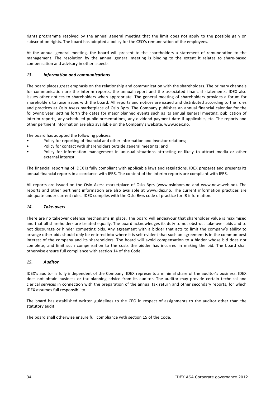rights programme resolved by the annual general meeting that the limit does not apply to the possible gain on subscription rights. The board has adopted a policy for the CEO's remuneration of the employees.

At the annual general meeting, the board will present to the shareholders a statement of remuneration to the management. The resolution by the annual general meeting is binding to the extent it relates to share‐based compensation and advisory in other aspects.

# *13. Information and communications*

The board places great emphasis on the relationship and communication with the shareholders. The primary channels for communication are the interim reports, the annual report and the associated financial statements. IDEX also issues other notices to shareholders when appropriate. The general meeting of shareholders provides a forum for shareholders to raise issues with the board. All reports and notices are issued and distributed according to the rules and practices at Oslo Axess marketplace of Oslo Børs. The Company publishes an annual financial calendar for the following year; setting forth the dates for major planned events such as its annual general meeting, publication of interim reports, any scheduled public presentations, any dividend payment date if applicable, etc. The reports and other pertinent information are also available on the Company's website, www.idex.no.

The board has adopted the following policies:

- Policy for reporting of financial and other information and investor relations;
- Policy for contact with shareholders outside general meetings; and
- Policy for information management in unusual situations attracting or likely to attract media or other external interest.

The financial reporting of IDEX is fully compliant with applicable laws and regulations. IDEX prepares and presents its annual financial reports in accordance with IFRS. The content of the interim reports are compliant with IFRS.

All reports are issued on the Oslo Axess marketplace of Oslo Børs (www.oslobors.no and www.newsweb.no). The reports and other pertinent information are also available at www.idex.no. The current information practices are adequate under current rules. IDEX complies with the Oslo Børs code of practice for IR information.

# *14. Take‐overs*

There are no takeover defence mechanisms in place. The board will endeavour that shareholder value is maximised and that all shareholders are treated equally. The board acknowledges its duty to not obstruct take-over bids and to not discourage or hinder competing bids. Any agreement with a bidder that acts to limit the company's ability to arrange other bids should only be entered into where it is self-evident that such an agreement is in the common best interest of the company and its shareholders. The board will avoid compensation to a bidder whose bid does not complete, and limit such compensation to the costs the bidder has incurred in making the bid. The board shall otherwise ensure full compliance with section 14 of the Code.

# *15. Auditor*

IDEX's auditor is fully independent of the Company. IDEX represents a minimal share of the auditor's business. IDEX does not obtain business or tax planning advice from its auditor. The auditor may provide certain technical and clerical services in connection with the preparation of the annual tax return and other secondary reports, for which IDEX assumes full responsibility.

The board has established written guidelines to the CEO in respect of assignments to the auditor other than the statutory audit.

The board shall otherwise ensure full compliance with section 15 of the Code.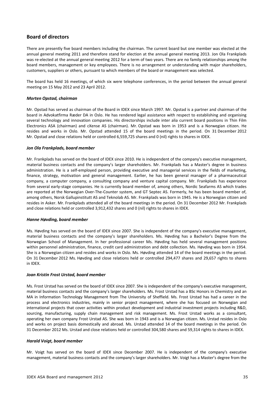# **Board of directors**

There are presently five board members including the chairman. The current board but one member was elected at the annual general meeting 2011 and therefore stand for election at the annual general meeting 2013. Jon Ola Frankplads was re-elected at the annual general meeting 2012 for a term of two years. There are no family relationships among the board members, management or key employees. There is no arrangement or understanding with major shareholders, customers, suppliers or others, pursuant to which members of the board or management was selected.

The board has held 16 meetings, of which six were telephone conferences, in the period between the annual general meeting on 15 May 2012 and 23 April 2012.

#### *Morten Opstad, chairman*

Mr. Opstad has served as chairman of the Board in IDEX since March 1997. Mr. Opstad is a partner and chairman of the board in Advokatfirma Ræder DA in Oslo. He has rendered legal assistance with respect to establishing and organising several technology and innovation companies. His directorships include inter alia current board positions in Thin Film Electronics ASA (chairman) and cXense AS (chairman). Mr. Opstad was born in 1953 and is a Norwegian citizen. He resides and works in Oslo. Mr. Opstad attended 15 of the board meetings in the period. On 31 December 2012 Mr. Opstad and close relations held or controlled 6,559,725 shares and 0 (nil) rights to shares in IDEX.

#### *Jon Ola Frankplads, board member*

Mr. Frankplads has served on the board of IDEX since 2010. He is independent of the company's executive management, material business contacts and the company's larger shareholders. Mr. Frankplads has a Master's degree in business administration. He is a self‐employed person, providing executive and managerial services in the fields of marketing, finance, strategy, motivation and general management. Earlier, he has been general manager of a pharmaceutical company, a computer company, a consulting company and venture capital company. Mr. Frankplads has experience from several early‐stage companies. He is currently board member of, among others, Nordic Seafarms AS which trades are reported at the Norwegian Over-The-Counter system, and GT Septec AS. Formerly, he has been board member of, among others, Norsk Gallupinstitutt AS and Teknolab AS. Mr. Frankplads was born in 1945. He is a Norwegian citizen and resides in Asker. Mr. Frankplads attended all of the board meetings in the period. On 31 December 2012 Mr. Frankplads and close relations held or controlled 3,912,432 shares and 0 (nil) rights to shares in IDEX.

#### *Hanne Høvding, board member*

Ms. Høvding has served on the board of IDEX since 2007. She is independent of the company's executive management, material business contacts and the company's larger shareholders. Ms. Høvding has a Bachelor's Degree from the Norwegian School of Management. In her professional career Ms. Høvding has held several management positions within personnel administration, finance, credit card administration and debt collection. Ms. Høvding was born in 1954. She is a Norwegian citizen and resides and works in Oslo. Ms. Høvding attended 14 of the board meetings in the period. On 31 December 2012 Ms. Høvding and close relations held or controlled 294,477 shares and 29,657 rights to shares in IDEX.

#### *Joan Kristin Frost Urstad, board member*

Ms. Frost Urstad has served on the board of IDEX since 2007. She is independent of the company's executive management, material business contacts and the company's larger shareholders. Ms. Frost Urstad has a BSc Honors in Chemistry and an MA in Information Technology Management from The University of Sheffield. Ms. Frost Urstad has had a career in the process and electronics industries, mainly in senior project management, where she has focused on Norwegian and international projects that cover activities within product development and industrial investment projects including R&D, sourcing, manufacturing, supply chain management and risk management. Ms. Frost Urstad works as a consultant, operating her own company Frost Urstad AS. She was born in 1943 and is a Norwegian citizen. Ms. Urstad resides in Oslo and works on project basis domestically and abroad. Ms. Urstad attended 14 of the board meetings in the period. On 31 December 2012 Ms. Urstad and close relations held or controlled 304,580 shares and 59,314 rights to shares in IDEX.

#### *Harald Voigt, board member*

Mr. Voigt has served on the board of IDEX since December 2007. He is independent of the company's executive management, material business contacts and the company's larger shareholders. Mr. Voigt has a Master's degree from the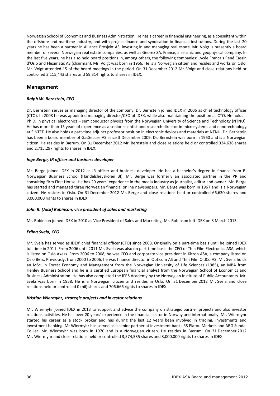Norwegian School of Economics and Business Administration. He has a career in financial engineering, as a consultant within the offshore and maritime industry, and with project finance and syndication in financial institutions. During the last 20 years he has been a partner in Alliance Prosjekt AS, investing in and managing real estate. Mr. Voigt is presently a board member of several Norwegian real estate companies, as well as Georex SA, France, a seismic and geophysical company. In the last five years, he has also held board positions in, among others, the following companies: Lycée Francais René Cassin d'Oslo and Fleximatic AS (chairman). Mr. Voigt was born in 1956. He is a Norwegian citizen and resides and works on Oslo. Mr. Voigt attended 15 of the board meetings in the period. On 31 December 2012 Mr. Voigt and close relations held or controlled 3,115,443 shares and 59,314 rights to shares in IDEX.

# **Management**

# *Ralph W. Bernstein, CEO*

Dr. Bernstein serves as managing director of the company. Dr. Bernstein joined IDEX in 2006 as chief technology officer (CTO). In 2008 he was appointed managing director/CEO of IDEX, while also maintaining the position as CTO. He holds a Ph.D. in physical electronics – semiconductor physics from the Norwegian University of Science and Technology (NTNU). He has more than 15 years of experience as a senior scientist and research director in microsystems and nanotechnology at SINTEF. He also holds a part‐time adjunct professor position in electronic devices and materials at NTNU. Dr. Bernstein has been a board member of GasSecure AS since 3 December 2009. Dr. Bernstein was born in 1960 and is a Norwegian citizen. He resides in Bærum. On 31 December 2012 Mr. Bernstein and close relations held or controlled 334,638 shares and 2,715,297 rights to shares in IDEX.

# *Inge Berge, IR officer and business developer*

Mr. Berge joined IDEX in 2012 as IR officer and business developer. He has a bachelor's degree in finance from BI Norwegian Business School (Handelshøyskolen BI). Mr. Berge was formerly an associated partner in the PR and consulting firm First House. He has 20 years' experience in the media industry as journalist, editor and owner. Mr. Berge has started and managed three Norwegian financial online newspapers. Mr. Berge was born in 1967 and is a Norwegian citizen. He resides in Oslo. On 31 December 2012 Mr. Berge and close relations held or controlled 66,630 shares and 3,000,000 rights to shares in IDEX.

# *John R. (Jack) Robinson, vice president of sales and marketing*

Mr. Robinson joined IDEX in 2010 as Vice President of Sales and Marketing. Mr. Robinson left IDEX on 8 March 2013.

# *Erling Svela, CFO*

Mr. Svela has served as IDEX' chief financial officer (CFO) since 2008. Originally on a part‐time basis until he joined IDEX full time in 2011. From 2006 until 2011 Mr. Svela was also on part-time basis the CFO of Thin Film Electronics ASA, which is listed on Oslo Axess. From 2006 to 2008, he was CFO and corporate vice president in Kitron ASA, a company listed on Oslo Børs. Previously, from 2000 to 2006, he was finance director in Opticom AS and Thin Film OldCo AS. Mr. Svela holds an MSc. in Forest Economy and Management from the Norwegian University of Life Sciences (1985), an MBA from Henley Business School and he is a certified European financial analyst from the Norwegian School of Economics and Business Administration. He has also completed the IFRS Academy by the Norwegian Institute of Public Accountants. Mr. Svela was born in 1958. He is a Norwegian citizen and resides in Oslo. On 31 December 2012 Mr. Svela and close relations held or controlled 0 (nil) shares and 706,666 rights to shares in IDEX.

#### *Kristian Wiermyhr, strategic projects and investor relations*

Mr. Wiermyhr joined IDEX in 2013 to support and advice the company on strategic partner projects and also investor relations activities. He has over 20 years' experience in the financial sector in Norway and internationally. Mr. Wiermyhr started his career as a stock broker and has during the last 12 years been involved in trading, investments and investment banking. Mr Wiermyhr has served as a senior partner at investment banks RS Platou Markets and ABG Sundal Collier. Mr. Wiermyhr was born in 1970 and is a Norwegian citizen. He resides in Bærum. On 31 December 2012 Mr. Wiermyhr and close relations held or controlled 3,574,535 shares and 3,000,000 rights to shares in IDEX.